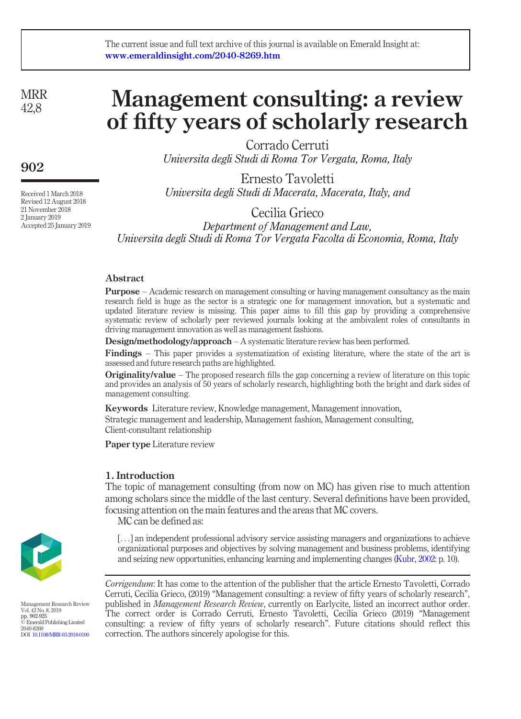**MRR** 42,8

902

Received 1 March 2018 Revised 12 August 2018 21 November 2018 2 January 2019 Accepted 25 January 2019

# Management consulting: a review of fifty years of scholarly research

Corrado Cerruti Universita degli Studi di Roma Tor Vergata, Roma, Italy

Ernesto Tavoletti Universita degli Studi di Macerata, Macerata, Italy, and

Cecilia Grieco

Department of Management and Law, Universita degli Studi di Roma Tor Vergata Facolta di Economia, Roma, Italy

### Abstract

Purpose – Academic research on management consulting or having management consultancy as the main research field is huge as the sector is a strategic one for management innovation, but a systematic and updated literature review is missing. This paper aims to fill this gap by providing a comprehensive systematic review of scholarly peer reviewed journals looking at the ambivalent roles of consultants in driving management innovation as well as management fashions.

Design/methodology/approach – A systematic literature review has been performed.

Findings – This paper provides a systematization of existing literature, where the state of the art is assessed and future research paths are highlighted.

**Originality/value** – The proposed research fills the gap concerning a review of literature on this topic and provides an analysis of 50 years of scholarly research, highlighting both the bright and dark sides of management consulting.

Keywords Literature review, Knowledge management, Management innovation, Strategic management and leadership, Management fashion, Management consulting, Client-consultant relationship

Paper type Literature review

## 1. Introduction

The topic of management consulting (from now on MC) has given rise to much attention among scholars since the middle of the last century. Several definitions have been provided, focusing attention on the main features and the areas that MC covers.

MC can be defined as:

[...] an independent professional advisory service assisting managers and organizations to achieve organizational purposes and objectives by solving management and business problems, identifying and seizing new opportunities, enhancing learning and implementing changes [\(Kubr, 2002:](#page-20-0) p. 10).

Corrigendum: It has come to the attention of the publisher that the article Ernesto Tavoletti, Corrado Cerruti, Cecilia Grieco, (2019) "Management consulting: a review of fifty years of scholarly research", published in *Management Research Review*, currently on Earlycite, listed an incorrect author order. The correct order is Corrado Cerruti, Ernesto Tavoletti, Cecilia Grieco (2019) "Management consulting: a review of fifty years of scholarly research". Future citations should reflect this correction. The authors sincerely apologise for this.



Management Research Review Vol. 42 No. 8, 2019 pp. 902-925 © Emerald Publishing Limited 2040-8269 DOI [10.1108/MRR-03-2018-0100](http://dx.doi.org/10.1108/MRR-03-2018-0100)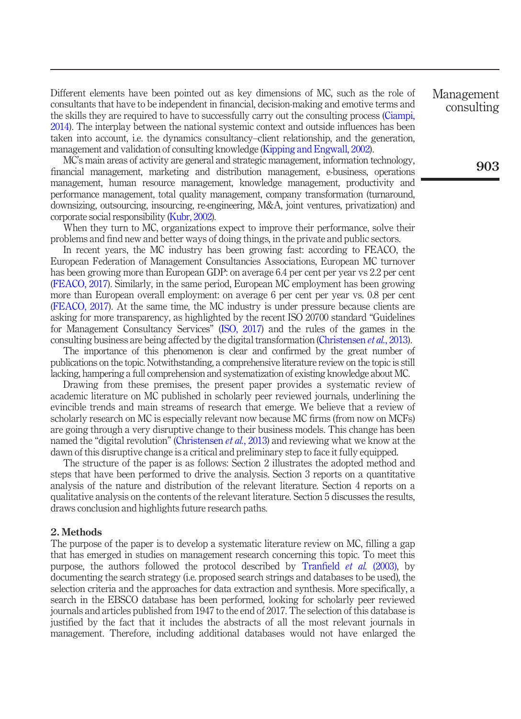Different elements have been pointed out as key dimensions of MC, such as the role of consultants that have to be independent in financial, decision-making and emotive terms and the skills they are required to have to successfully carry out the consulting process ([Ciampi,](#page-18-0) [2014](#page-18-0)). The interplay between the national systemic context and outside influences has been taken into account, i.e. the dynamics consultancy–client relationship, and the generation, management and validation of consulting knowledge [\(Kipping and Engwall, 2002](#page-20-1)).

MC's main areas of activity are general and strategic management, information technology, financial management, marketing and distribution management, e-business, operations management, human resource management, knowledge management, productivity and performance management, total quality management, company transformation (turnaround, downsizing, outsourcing, insourcing, re-engineering, M&A, joint ventures, privatization) and corporate social responsibility ([Kubr, 2002\)](#page-20-0).

When they turn to MC, organizations expect to improve their performance, solve their problems and find new and better ways of doing things, in the private and public sectors.

In recent years, the MC industry has been growing fast: according to FEACO, the European Federation of Management Consultancies Associations, European MC turnover has been growing more than European GDP: on average 6.4 per cent per year vs 2.2 per cent [\(FEACO, 2017\)](#page-19-0). Similarly, in the same period, European MC employment has been growing more than European overall employment: on average 6 per cent per year vs. 0.8 per cent [\(FEACO, 2017\)](#page-19-0). At the same time, the MC industry is under pressure because clients are asking for more transparency, as highlighted by the recent ISO 20700 standard "Guidelines for Management Consultancy Services" [\(ISO, 2017\)](#page-19-1) and the rules of the games in the consulting business are being affected by the digital transformation [\(Christensen](#page-18-1) *et al.*, 2013).

The importance of this phenomenon is clear and confirmed by the great number of publications on the topic. Notwithstanding, a comprehensive literature review on the topic is still lacking, hampering a full comprehension and systematization of existing knowledge about MC.

Drawing from these premises, the present paper provides a systematic review of academic literature on MC published in scholarly peer reviewed journals, underlining the evincible trends and main streams of research that emerge. We believe that a review of scholarly research on MC is especially relevant now because MC firms (from now on MCFs) are going through a very disruptive change to their business models. This change has been named the "digital revolution" ([Christensen](#page-18-1) *et al.*, 2013) and reviewing what we know at the dawn of this disruptive change is a critical and preliminary step to face it fully equipped.

The structure of the paper is as follows: Section 2 illustrates the adopted method and steps that have been performed to drive the analysis. Section 3 reports on a quantitative analysis of the nature and distribution of the relevant literature. Section 4 reports on a qualitative analysis on the contents of the relevant literature. Section 5 discusses the results, draws conclusion and highlights future research paths.

#### 2. Methods

The purpose of the paper is to develop a systematic literature review on MC, filling a gap that has emerged in studies on management research concerning this topic. To meet this purpose, the authors followed the protocol described by Tranfield et al. [\(2003\),](#page-22-0) by documenting the search strategy (i.e. proposed search strings and databases to be used), the selection criteria and the approaches for data extraction and synthesis. More specifically, a search in the EBSCO database has been performed, looking for scholarly peer reviewed journals and articles published from 1947 to the end of 2017. The selection of this database is justified by the fact that it includes the abstracts of all the most relevant journals in management. Therefore, including additional databases would not have enlarged the Management consulting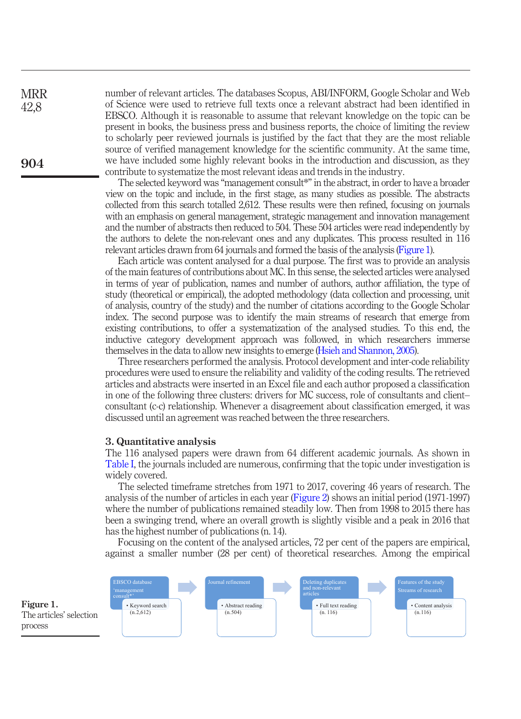number of relevant articles. The databases Scopus, ABI/INFORM, Google Scholar and Web of Science were used to retrieve full texts once a relevant abstract had been identified in EBSCO. Although it is reasonable to assume that relevant knowledge on the topic can be present in books, the business press and business reports, the choice of limiting the review to scholarly peer reviewed journals is justified by the fact that they are the most reliable source of verified management knowledge for the scientific community. At the same time, we have included some highly relevant books in the introduction and discussion, as they contribute to systematize the most relevant ideas and trends in the industry.

The selected keyword was "management consult<sup>\*"</sup> in the abstract, in order to have a broader view on the topic and include, in the first stage, as many studies as possible. The abstracts collected from this search totalled 2,612. These results were then refined, focusing on journals with an emphasis on general management, strategic management and innovation management and the number of abstracts then reduced to 504. These 504 articles were read independently by the authors to delete the non-relevant ones and any duplicates. This process resulted in 116 relevant articles drawn from 64 journals and formed the basis of the analysis ([Figure 1\)](#page-2-0).

Each article was content analysed for a dual purpose. The first was to provide an analysis of the main features of contributions about MC. In this sense, the selected articles were analysed in terms of year of publication, names and number of authors, author affiliation, the type of study (theoretical or empirical), the adopted methodology (data collection and processing, unit of analysis, country of the study) and the number of citations according to the Google Scholar index. The second purpose was to identify the main streams of research that emerge from existing contributions, to offer a systematization of the analysed studies. To this end, the inductive category development approach was followed, in which researchers immerse themselves in the data to allow new insights to emerge [\(Hsieh and Shannon, 2005\)](#page-19-2).

Three researchers performed the analysis. Protocol development and inter-code reliability procedures were used to ensure the reliability and validity of the coding results. The retrieved articles and abstracts were inserted in an Excel file and each author proposed a classification in one of the following three clusters: drivers for MC success, role of consultants and client– consultant (c-c) relationship. Whenever a disagreement about classification emerged, it was discussed until an agreement was reached between the three researchers.

#### 3. Quantitative analysis

The 116 analysed papers were drawn from 64 different academic journals. As shown in [Table I,](#page-3-0) the journals included are numerous, confirming that the topic under investigation is widely covered.

The selected timeframe stretches from 1971 to 2017, covering 46 years of research. The analysis of the number of articles in each year ([Figure 2\)](#page-3-1) shows an initial period (1971-1997) where the number of publications remained steadily low. Then from 1998 to 2015 there has been a swinging trend, where an overall growth is slightly visible and a peak in 2016 that has the highest number of publications (n. 14).

Focusing on the content of the analysed articles, 72 per cent of the papers are empirical, against a smaller number (28 per cent) of theoretical researches. Among the empirical

<span id="page-2-0"></span>

904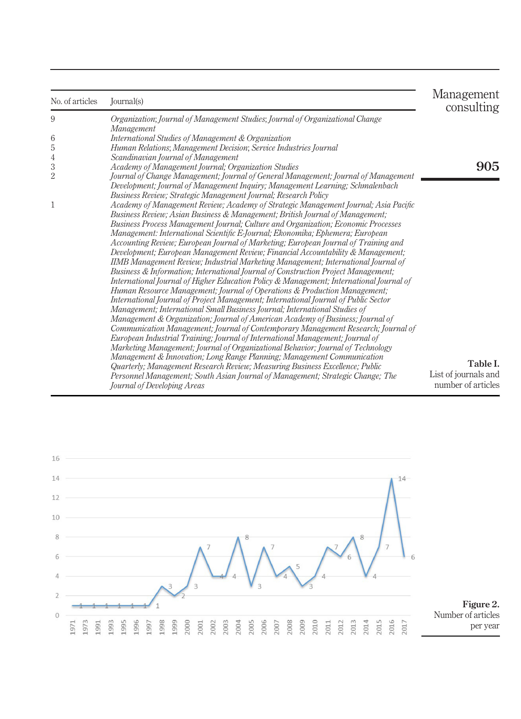| No. of articles     | Journal(s)                                                                                                                                                          | Management<br>consulting                   |
|---------------------|---------------------------------------------------------------------------------------------------------------------------------------------------------------------|--------------------------------------------|
| 9                   | Organization; Journal of Management Studies; Journal of Organizational Change                                                                                       |                                            |
|                     | Management                                                                                                                                                          |                                            |
| 6                   | International Studies of Management & Organization                                                                                                                  |                                            |
| 5                   | Human Relations; Management Decision; Service Industries Journal                                                                                                    |                                            |
| $\overline{4}$      | Scandinavian Journal of Management                                                                                                                                  |                                            |
| 3<br>$\overline{2}$ | Academy of Management Journal; Organization Studies                                                                                                                 | 905                                        |
|                     | Journal of Change Management; Journal of General Management; Journal of Management<br>Development; Journal of Management Inquiry; Management Learning; Schmalenbach |                                            |
|                     | Business Review; Strategic Management Journal; Research Policy                                                                                                      |                                            |
| $\mathbf{1}$        | Academy of Management Review; Academy of Strategic Management Journal; Asia Pacific                                                                                 |                                            |
|                     | Business Review; Asian Business & Management; British Journal of Management;                                                                                        |                                            |
|                     | Business Process Management Journal; Culture and Organization; Economic Processes                                                                                   |                                            |
|                     | Management: International Scientific E-Journal; Ekonomika; Ephemera; European                                                                                       |                                            |
|                     | Accounting Review; European Journal of Marketing; European Journal of Training and                                                                                  |                                            |
|                     | Development; European Management Review; Financial Accountability & Management;                                                                                     |                                            |
|                     | IIMB Management Review; Industrial Marketing Management; International Journal of                                                                                   |                                            |
|                     | Business & Information; International Journal of Construction Project Management;                                                                                   |                                            |
|                     | International Journal of Higher Education Policy & Management; International Journal of                                                                             |                                            |
|                     | Human Resource Management; Journal of Operations & Production Management;<br>International Journal of Project Management; International Journal of Public Sector    |                                            |
|                     | Management; International Small Business Journal; International Studies of                                                                                          |                                            |
|                     | Management & Organization; Journal of American Academy of Business; Journal of                                                                                      |                                            |
|                     | Communication Management; Journal of Contemporary Management Research; Journal of                                                                                   |                                            |
|                     | European Industrial Training; Journal of International Management; Journal of                                                                                       |                                            |
|                     | Marketing Management; Journal of Organizational Behavior; Journal of Technology                                                                                     |                                            |
|                     | Management & Innovation; Long Range Planning; Management Communication                                                                                              |                                            |
|                     | Quarterly; Management Research Review; Measuring Business Excellence; Public                                                                                        | Table L                                    |
|                     | Personnel Management; South Asian Journal of Management; Strategic Change; The<br><b>Journal of Developing Areas</b>                                                | List of journals and<br>number of articles |

<span id="page-3-1"></span><span id="page-3-0"></span>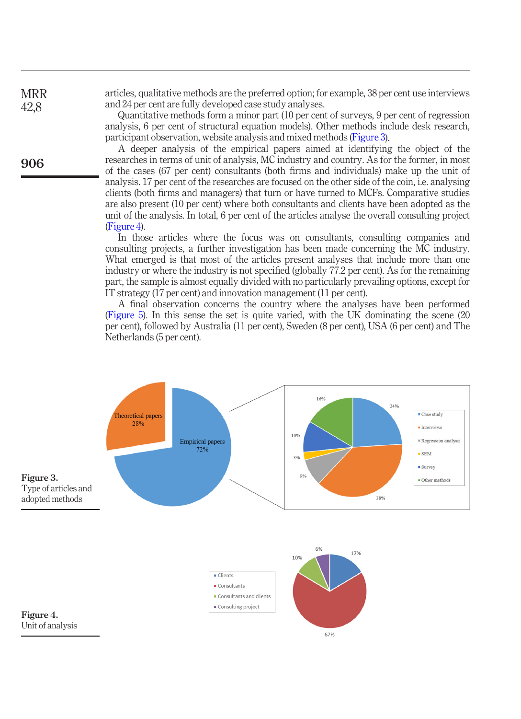articles, qualitative methods are the preferred option; for example, 38 per cent use interviews and 24 per cent are fully developed case study analyses.

Quantitative methods form a minor part (10 per cent of surveys, 9 per cent of regression analysis, 6 per cent of structural equation models). Other methods include desk research, participant observation, website analysis and mixed methods ([Figure 3\)](#page-4-0).

A deeper analysis of the empirical papers aimed at identifying the object of the researches in terms of unit of analysis, MC industry and country. As for the former, in most of the cases (67 per cent) consultants (both firms and individuals) make up the unit of analysis. 17 per cent of the researches are focused on the other side of the coin, i.e. analysing clients (both firms and managers) that turn or have turned to MCFs. Comparative studies are also present (10 per cent) where both consultants and clients have been adopted as the unit of the analysis. In total, 6 per cent of the articles analyse the overall consulting project [\(Figure 4](#page-4-1)).

In those articles where the focus was on consultants, consulting companies and consulting projects, a further investigation has been made concerning the MC industry. What emerged is that most of the articles present analyses that include more than one industry or where the industry is not specified (globally 77.2 per cent). As for the remaining part, the sample is almost equally divided with no particularly prevailing options, except for IT strategy (17 per cent) and innovation management (11 per cent).

A final observation concerns the country where the analyses have been performed [\(Figure 5\)](#page-5-0). In this sense the set is quite varied, with the UK dominating the scene (20 per cent), followed by Australia (11 per cent), Sweden (8 per cent), USA (6 per cent) and The Netherlands (5 per cent).

<span id="page-4-1"></span><span id="page-4-0"></span>

# 906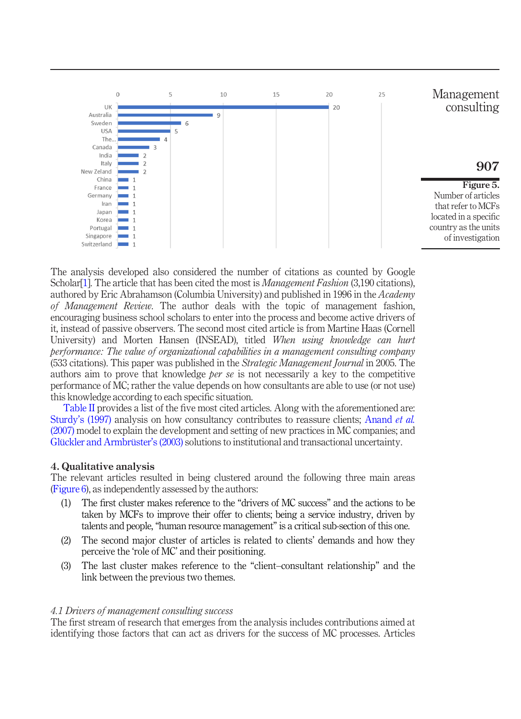<span id="page-5-0"></span>

The analysis developed also considered the number of citations as counted by Google Scholar<sup>[[1](#page-16-0)]</sup>. The article that has been cited the most is *Management Fashion* (3,190 citations), authored by Eric Abrahamson (Columbia University) and published in 1996 in the *Academy* of Management Review. The author deals with the topic of management fashion, encouraging business school scholars to enter into the process and become active drivers of it, instead of passive observers. The second most cited article is from Martine Haas (Cornell University) and Morten Hansen (INSEAD), titled When using knowledge can hurt performance: The value of organizational capabilities in a management consulting company (533 citations). This paper was published in the Strategic Management Journal in 2005. The authors aim to prove that knowledge per se is not necessarily a key to the competitive performance of MC; rather the value depends on how consultants are able to use (or not use) this knowledge according to each specific situation.

[Table II](#page-6-0) provides a list of the five most cited articles. Along with the aforementioned are: Sturdy'[s \(1997\)](#page-22-1) analysis on how consultancy contributes to reassure clients; [Anand](#page-17-0) *et al.* [\(2007\)](#page-17-0) model to explain the development and setting of new practices in MC companies; and [Glückler and Armbrüster](#page-19-3)'s (2003) solutions to institutional and transactional uncertainty.

#### 4. Qualitative analysis

The relevant articles resulted in being clustered around the following three main areas [\(Figure 6\)](#page-6-1), as independently assessed by the authors:

- (1) The first cluster makes reference to the "drivers of MC success" and the actions to be taken by MCFs to improve their offer to clients; being a service industry, driven by talents and people, "human resource management" is a critical sub-section of this one.
- (2) The second major cluster of articles is related to clients' demands and how they perceive the 'role of MC' and their positioning.
- (3) The last cluster makes reference to the "client–consultant relationship" and the link between the previous two themes.

#### 4.1 Drivers of management consulting success

The first stream of research that emerges from the analysis includes contributions aimed at identifying those factors that can act as drivers for the success of MC processes. Articles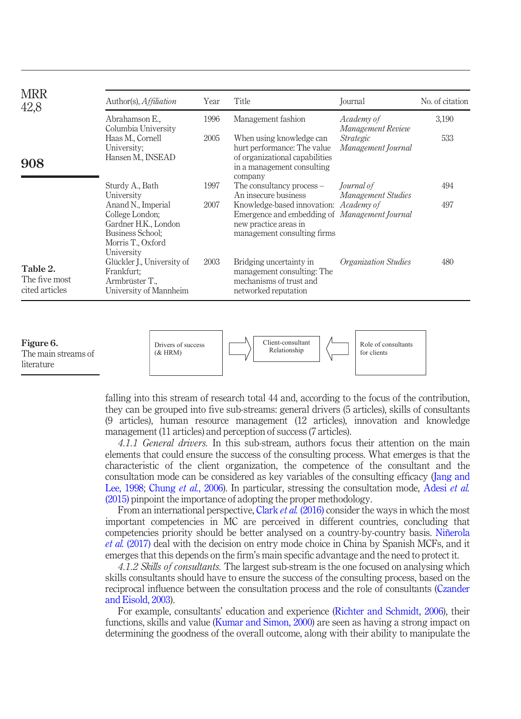| <b>MRR</b>                                  |                                                                                                                      |      |                                                                                                                                                               |                                                      |                 |
|---------------------------------------------|----------------------------------------------------------------------------------------------------------------------|------|---------------------------------------------------------------------------------------------------------------------------------------------------------------|------------------------------------------------------|-----------------|
| 42,8                                        | Author(s), <i>Affiliation</i>                                                                                        | Year | Title                                                                                                                                                         | Journal                                              | No. of citation |
|                                             | Abrahamson E.,<br>Columbia University                                                                                | 1996 | Management fashion                                                                                                                                            | Academy of<br>Management Review                      | 3,190           |
| 908                                         | Haas M., Cornell<br>University:<br>Hansen M., INSEAD                                                                 | 2005 | When using knowledge can<br>hurt performance: The value<br>of organizational capabilities<br>in a management consulting                                       | <i><u><b>Strategic</b></u></i><br>Management Journal | 533             |
|                                             | Sturdy A., Bath<br>University                                                                                        | 1997 | company<br>The consultancy $process -$<br>An insecure business                                                                                                | Journal of<br>Management Studies                     | 494             |
|                                             | Anand N., Imperial<br>College London;<br>Gardner H.K., London<br>Business School;<br>Morris T., Oxford<br>University | 2007 | Knowledge-based innovation: <i>Academy of</i><br>Emergence and embedding of <i>Management Journal</i><br>new practice areas in<br>management consulting firms |                                                      | 497             |
| Table 2.<br>The five most<br>cited articles | Glückler I., University of<br>Frankfurt:<br>Armbrüster T.,<br>University of Mannheim                                 | 2003 | Bridging uncertainty in<br>management consulting: The<br>mechanisms of trust and<br>networked reputation                                                      | <b>Organization Studies</b>                          | 480             |

<span id="page-6-1"></span><span id="page-6-0"></span>Figure 6. The main streams of literature



falling into this stream of research total 44 and, according to the focus of the contribution, they can be grouped into five sub-streams: general drivers (5 articles), skills of consultants (9 articles), human resource management (12 articles), innovation and knowledge management (11 articles) and perception of success (7 articles).

4.1.1 General drivers. In this sub-stream, authors focus their attention on the main elements that could ensure the success of the consulting process. What emerges is that the characteristic of the client organization, the competence of the consultant and the consultation mode can be considered as key variables of the consulting efficacy ([Jang and](#page-19-4) [Lee, 1998;](#page-19-4) [Chung](#page-18-2) et al., 2006). In particular, stressing the consultation mode, [Adesi](#page-17-1) et al. [\(2015\)](#page-17-1) pinpoint the importance of adopting the proper methodology.

From an international perspective, Clark *et al.* [\(2016\)](#page-18-3) consider the ways in which the most important competencies in MC are perceived in different countries, concluding that competencies priority should be better analysed on a country-by-country basis. [Niñerola](#page-21-0) et al. [\(2017\)](#page-21-0) deal with the decision on entry mode choice in China by Spanish MCFs, and it emerges that this depends on the firm's main specific advantage and the need to protect it.

4.1.2 Skills of consultants. The largest sub-stream is the one focused on analysing which skills consultants should have to ensure the success of the consulting process, based on the reciprocal influence between the consultation process and the role of consultants [\(Czander](#page-18-4) [and Eisold, 2003](#page-18-4)).

For example, consultants' education and experience [\(Richter and Schmidt, 2006\)](#page-22-2), their functions, skills and value ([Kumar and Simon, 2000\)](#page-20-2) are seen as having a strong impact on determining the goodness of the overall outcome, along with their ability to manipulate the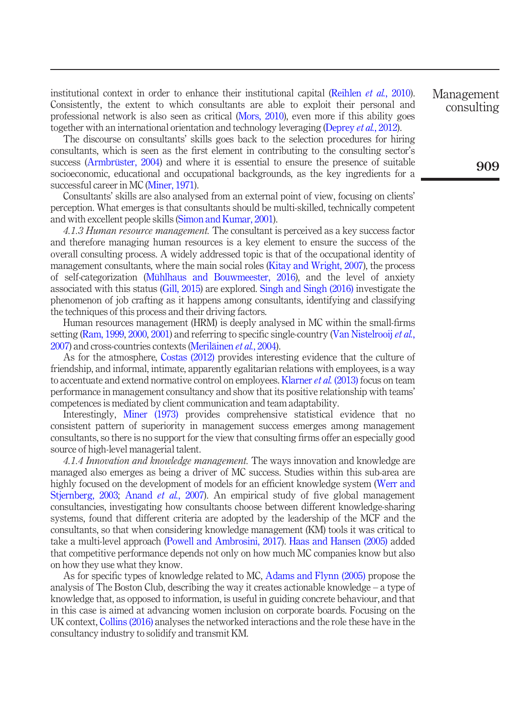institutional context in order to enhance their institutional capital ([Reihlen](#page-22-3) *et al.*, 2010). Consistently, the extent to which consultants are able to exploit their personal and professional network is also seen as critical ([Mors, 2010\)](#page-21-1), even more if this ability goes together with an international orientation and technology leveraging ([Deprey](#page-19-5) et al., 2012).

The discourse on consultants' skills goes back to the selection procedures for hiring consultants, which is seen as the first element in contributing to the consulting sector's success ([Armbrüster, 2004](#page-17-2)) and where it is essential to ensure the presence of suitable socioeconomic, educational and occupational backgrounds, as the key ingredients for a successful career in MC [\(Miner, 1971](#page-21-2)).

Consultants' skills are also analysed from an external point of view, focusing on clients' perception. What emerges is that consultants should be multi-skilled, technically competent and with excellent people skills ([Simon and Kumar, 2001\)](#page-22-4).

4.1.3 Human resource management. The consultant is perceived as a key success factor and therefore managing human resources is a key element to ensure the success of the overall consulting process. A widely addressed topic is that of the occupational identity of management consultants, where the main social roles ([Kitay and Wright, 2007\)](#page-20-3), the process of self-categorization [\(Mühlhaus and Bouwmeester, 2016\)](#page-21-3), and the level of anxiety associated with this status [\(Gill, 2015\)](#page-19-6) are explored. [Singh and Singh \(2016\)](#page-22-5) investigate the phenomenon of job crafting as it happens among consultants, identifying and classifying the techniques of this process and their driving factors.

Human resources management (HRM) is deeply analysed in MC within the small-firms setting [\(Ram, 1999,](#page-21-4) [2000](#page-21-5), [2001\)](#page-21-6) and referring to specific single-country [\(Van Nistelrooij](#page-23-0) et al., [2007\)](#page-23-0) and cross-countries contexts ([Meriläinen](#page-20-4) et al., 2004).

As for the atmosphere, [Costas \(2012\)](#page-18-5) provides interesting evidence that the culture of friendship, and informal, intimate, apparently egalitarian relations with employees, is a way to accentuate and extend normative control on employees. [Klarner](#page-20-5) *et al.* (2013) focus on team performance in management consultancy and show that its positive relationship with teams' competences is mediated by client communication and team adaptability.

Interestingly, [Miner \(1973\)](#page-21-7) provides comprehensive statistical evidence that no consistent pattern of superiority in management success emerges among management consultants, so there is no support for the view that consulting firms offer an especially good source of high-level managerial talent.

4.1.4 Innovation and knowledge management. The ways innovation and knowledge are managed also emerges as being a driver of MC success. Studies within this sub-area are highly focused on the development of models for an efficient knowledge system ([Werr and](#page-23-1) [Stjernberg, 2003;](#page-23-1) [Anand](#page-17-0) *et al.*, 2007). An empirical study of five global management consultancies, investigating how consultants choose between different knowledge-sharing systems, found that different criteria are adopted by the leadership of the MCF and the consultants, so that when considering knowledge management (KM) tools it was critical to take a multi-level approach [\(Powell and Ambrosini, 2017\)](#page-21-8). [Haas and Hansen \(2005\)](#page-19-7) added that competitive performance depends not only on how much MC companies know but also on how they use what they know.

As for specific types of knowledge related to MC, [Adams and Flynn \(2005\)](#page-17-3) propose the analysis of The Boston Club, describing the way it creates actionable knowledge – a type of knowledge that, as opposed to information, is useful in guiding concrete behaviour, and that in this case is aimed at advancing women inclusion on corporate boards. Focusing on the UK context, [Collins \(2016\)](#page-18-6) analyses the networked interactions and the role these have in the consultancy industry to solidify and transmit KM.

Management consulting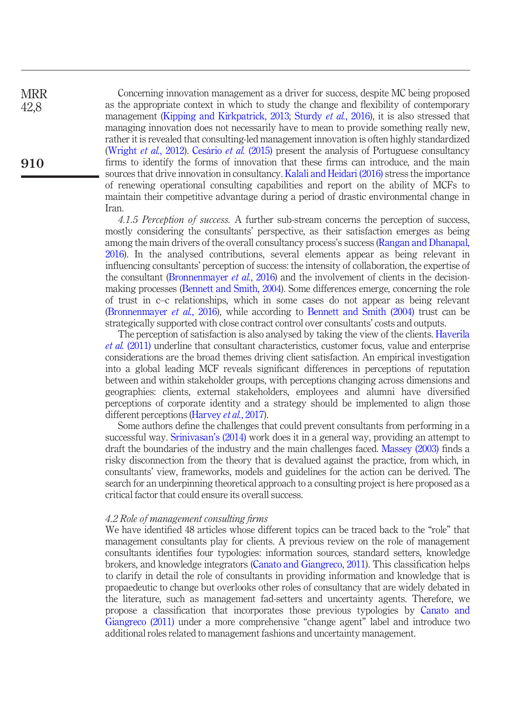**MRR** 42,8

910

Concerning innovation management as a driver for success, despite MC being proposed as the appropriate context in which to study the change and flexibility of contemporary management ([Kipping and Kirkpatrick, 2013;](#page-20-6) [Sturdy](#page-22-6) et al., 2016), it is also stressed that managing innovation does not necessarily have to mean to provide something really new, rather it is revealed that consulting-led management innovation is often highly standardized [\(Wright](#page-23-2) et al., 2012). [Cesário](#page-18-7) et al. (2015) present the analysis of Portuguese consultancy firms to identify the forms of innovation that these firms can introduce, and the main sources that drive innovation in consultancy. [Kalali and Heidari \(2016\)](#page-20-7) stress the importance of renewing operational consulting capabilities and report on the ability of MCFs to maintain their competitive advantage during a period of drastic environmental change in Iran.

4.1.5 Perception of success. A further sub-stream concerns the perception of success, mostly considering the consultants' perspective, as their satisfaction emerges as being among the main drivers of the overall consultancy process's success ([Rangan and Dhanapal,](#page-21-9) [2016](#page-21-9)). In the analysed contributions, several elements appear as being relevant in influencing consultants' perception of success: the intensity of collaboration, the expertise of the consultant ([Bronnenmayer](#page-18-8) *et al.*, 2016) and the involvement of clients in the decisionmaking processes ([Bennett and Smith, 2004](#page-17-4)). Some differences emerge, concerning the role of trust in c–c relationships, which in some cases do not appear as being relevant [\(Bronnenmayer](#page-18-8) et al., 2016), while according to [Bennett and Smith \(2004\)](#page-17-4) trust can be strategically supported with close contract control over consultants' costs and outputs.

The perception of satisfaction is also analysed by taking the view of the clients. [Haverila](#page-19-8) et al. [\(2011\)](#page-19-8) underline that consultant characteristics, customer focus, value and enterprise considerations are the broad themes driving client satisfaction. An empirical investigation into a global leading MCF reveals significant differences in perceptions of reputation between and within stakeholder groups, with perceptions changing across dimensions and geographies: clients, external stakeholders, employees and alumni have diversified perceptions of corporate identity and a strategy should be implemented to align those different perceptions ([Harvey](#page-19-9) *et al.*, 2017).

Some authors define the challenges that could prevent consultants from performing in a successful way. [Srinivasan](#page-22-7)'s (2014) work does it in a general way, providing an attempt to draft the boundaries of the industry and the main challenges faced. [Massey \(2003\)](#page-20-8) finds a risky disconnection from the theory that is devalued against the practice, from which, in consultants' view, frameworks, models and guidelines for the action can be derived. The search for an underpinning theoretical approach to a consulting project is here proposed as a critical factor that could ensure its overall success.

#### 4.2 Role of management consulting firms

We have identified 48 articles whose different topics can be traced back to the "role" that management consultants play for clients. A previous review on the role of management consultants identifies four typologies: information sources, standard setters, knowledge brokers, and knowledge integrators ([Canato and Giangreco, 2011](#page-18-9)). This classification helps to clarify in detail the role of consultants in providing information and knowledge that is propaedeutic to change but overlooks other roles of consultancy that are widely debated in the literature, such as management fad-setters and uncertainty agents. Therefore, we propose a classification that incorporates those previous typologies by [Canato and](#page-18-9) [Giangreco \(2011\)](#page-18-9) under a more comprehensive "change agent" label and introduce two additional roles related to management fashions and uncertainty management.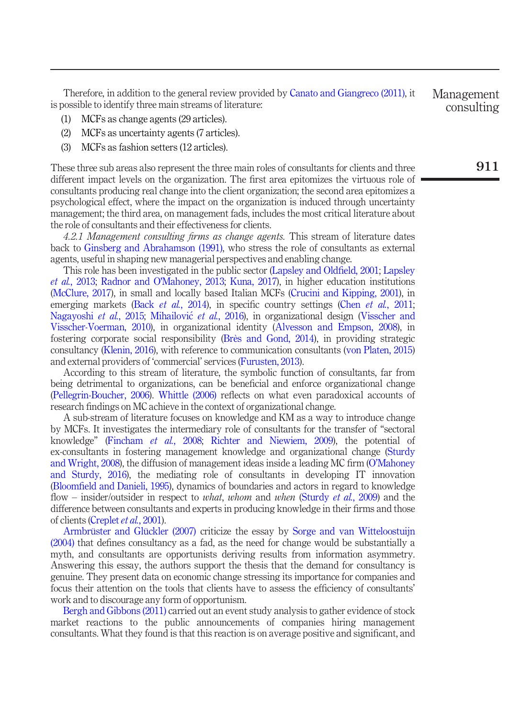Therefore, in addition to the general review provided by [Canato and Giangreco \(2011\)](#page-18-9), it is possible to identify three main streams of literature: Management

- (1) MCFs as change agents (29 articles).
- (2) MCFs as uncertainty agents (7 articles).
- (3) MCFs as fashion setters (12 articles).

These three sub areas also represent the three main roles of consultants for clients and three different impact levels on the organization. The first area epitomizes the virtuous role of consultants producing real change into the client organization; the second area epitomizes a psychological effect, where the impact on the organization is induced through uncertainty management; the third area, on management fads, includes the most critical literature about the role of consultants and their effectiveness for clients.

4.2.1 Management consulting firms as change agents. This stream of literature dates back to [Ginsberg and Abrahamson \(1991\),](#page-19-10) who stress the role of consultants as external agents, useful in shaping new managerial perspectives and enabling change.

This role has been investigated in the public sector ([Lapsley and Old](#page-20-9)field, 2001; [Lapsley](#page-20-10) et al.[, 2013](#page-20-10); [Radnor and O'Mahoney, 2013](#page-21-10); [Kuna, 2017](#page-20-11)), in higher education institutions [\(McClure, 2017](#page-20-12)), in small and locally based Italian MCFs ([Crucini and Kipping, 2001\)](#page-18-10), in emerging markets (Back et al.[, 2014\)](#page-17-5), in specific country settings (Chen et al.[, 2011](#page-18-11); [Nagayoshi](#page-21-11) et al., 2015; [Mihailovi](#page-21-12)ć et al., 2016), in organizational design ([Visscher and](#page-23-3) [Visscher-Voerman, 2010\)](#page-23-3), in organizational identity ([Alvesson and Empson, 2008](#page-17-6)), in fostering corporate social responsibility ([Brès and Gond, 2014](#page-18-12)), in providing strategic consultancy [\(Klenin, 2016](#page-20-13)), with reference to communication consultants ([von Platen, 2015\)](#page-23-4) and external providers of 'commercial' services ([Furusten, 2013\)](#page-19-11).

According to this stream of literature, the symbolic function of consultants, far from being detrimental to organizations, can be beneficial and enforce organizational change [\(Pellegrin-Boucher, 2006\)](#page-21-13). [Whittle \(2006\)](#page-23-5) reflects on what even paradoxical accounts of research findings on MC achieve in the context of organizational change.

A sub-stream of literature focuses on knowledge and KM as a way to introduce change by MCFs. It investigates the intermediary role of consultants for the transfer of "sectoral knowledge" [\(Fincham](#page-19-12) et al., 2008; [Richter and Niewiem, 2009](#page-22-8)), the potential of ex-consultants in fostering management knowledge and organizational change [\(Sturdy](#page-22-9) [and Wright, 2008](#page-22-9)), the diffusion of management ideas inside a leading MC firm (O'[Mahoney](#page-21-14) [and Sturdy, 2016\)](#page-21-14), the mediating role of consultants in developing IT innovation (Bloomfi[eld and Danieli, 1995](#page-17-7)), dynamics of boundaries and actors in regard to knowledge flow – insider/outsider in respect to *what, whom* and *when* ([Sturdy](#page-22-10) *et al.*, 2009) and the difference between consultants and experts in producing knowledge in their firms and those of clients ([Creplet](#page-18-13) *et al.*, 2001).

[Armbrüster and Glückler \(2007\)](#page-17-8) criticize the essay by [Sorge and van Witteloostuijn](#page-22-11) [\(2004\)](#page-22-11) that defines consultancy as a fad, as the need for change would be substantially a myth, and consultants are opportunists deriving results from information asymmetry. Answering this essay, the authors support the thesis that the demand for consultancy is genuine. They present data on economic change stressing its importance for companies and focus their attention on the tools that clients have to assess the efficiency of consultants' work and to discourage any form of opportunism.

[Bergh and Gibbons \(2011\)](#page-17-9) carried out an event study analysis to gather evidence of stock market reactions to the public announcements of companies hiring management consultants. What they found is that this reaction is on average positive and significant, and 911

consulting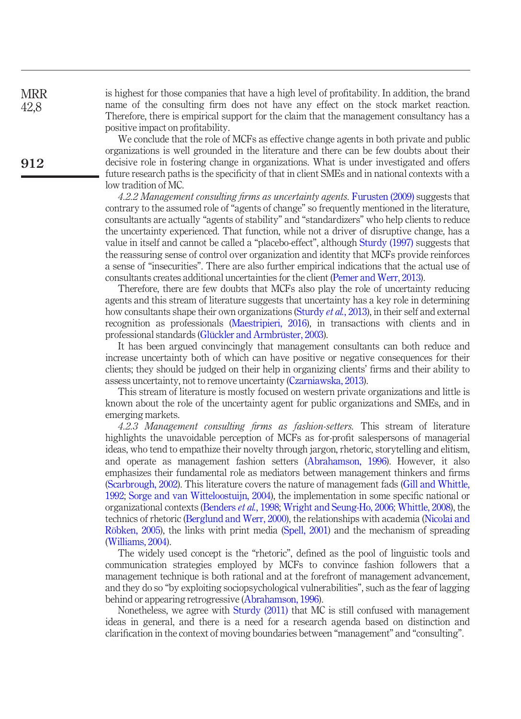is highest for those companies that have a high level of profitability. In addition, the brand name of the consulting firm does not have any effect on the stock market reaction. Therefore, there is empirical support for the claim that the management consultancy has a positive impact on profitability.

We conclude that the role of MCFs as effective change agents in both private and public organizations is well grounded in the literature and there can be few doubts about their decisive role in fostering change in organizations. What is under investigated and offers future research paths is the specificity of that in client SMEs and in national contexts with a low tradition of MC.

4.2.2 Management consulting firms as uncertainty agents. [Furusten \(2009\)](#page-19-13) suggests that contrary to the assumed role of "agents of change" so frequently mentioned in the literature, consultants are actually "agents of stability" and "standardizers" who help clients to reduce the uncertainty experienced. That function, while not a driver of disruptive change, has a value in itself and cannot be called a "placebo-effect", although [Sturdy \(1997\)](#page-22-1) suggests that the reassuring sense of control over organization and identity that MCFs provide reinforces a sense of "insecurities". There are also further empirical indications that the actual use of consultants creates additional uncertainties for the client [\(Pemer and Werr, 2013](#page-21-15)).

Therefore, there are few doubts that MCFs also play the role of uncertainty reducing agents and this stream of literature suggests that uncertainty has a key role in determining how consultants shape their own organizations [\(Sturdy](#page-22-12) et al., 2013), in their self and external recognition as professionals ([Maestripieri, 2016\)](#page-20-14), in transactions with clients and in professional standards ([Glückler and Armbrüster, 2003](#page-19-3)).

It has been argued convincingly that management consultants can both reduce and increase uncertainty both of which can have positive or negative consequences for their clients; they should be judged on their help in organizing clients' firms and their ability to assess uncertainty, not to remove uncertainty [\(Czarniawska, 2013](#page-18-14)).

This stream of literature is mostly focused on western private organizations and little is known about the role of the uncertainty agent for public organizations and SMEs, and in emerging markets.

4.2.3 Management consulting firms as fashion-setters. This stream of literature highlights the unavoidable perception of MCFs as for-profit salespersons of managerial ideas, who tend to empathize their novelty through jargon, rhetoric, storytelling and elitism, and operate as management fashion setters ([Abrahamson, 1996](#page-17-10)). However, it also emphasizes their fundamental role as mediators between management thinkers and firms [\(Scarbrough, 2002](#page-22-13)). This literature covers the nature of management fads [\(Gill and Whittle,](#page-19-14) [1992](#page-19-14); [Sorge and van Witteloostuijn, 2004](#page-22-11)), the implementation in some specific national or organizational contexts [\(Benders](#page-17-11) et al., 1998; [Wright and Seung-Ho, 2006;](#page-23-6) [Whittle, 2008\)](#page-23-7), the technics of rhetoric [\(Berglund and Werr, 2000](#page-17-12)), the relationships with academia [\(Nicolai and](#page-21-16) [Röbken, 2005\)](#page-21-16), the links with print media [\(Spell, 2001\)](#page-22-14) and the mechanism of spreading [\(Williams, 2004\)](#page-23-8).

The widely used concept is the "rhetoric", defined as the pool of linguistic tools and communication strategies employed by MCFs to convince fashion followers that a management technique is both rational and at the forefront of management advancement, and they do so "by exploiting sociopsychological vulnerabilities", such as the fear of lagging behind or appearing retrogressive [\(Abrahamson, 1996](#page-17-10)).

Nonetheless, we agree with [Sturdy \(2011\)](#page-22-15) that MC is still confused with management ideas in general, and there is a need for a research agenda based on distinction and clarification in the context of moving boundaries between "management" and "consulting".

912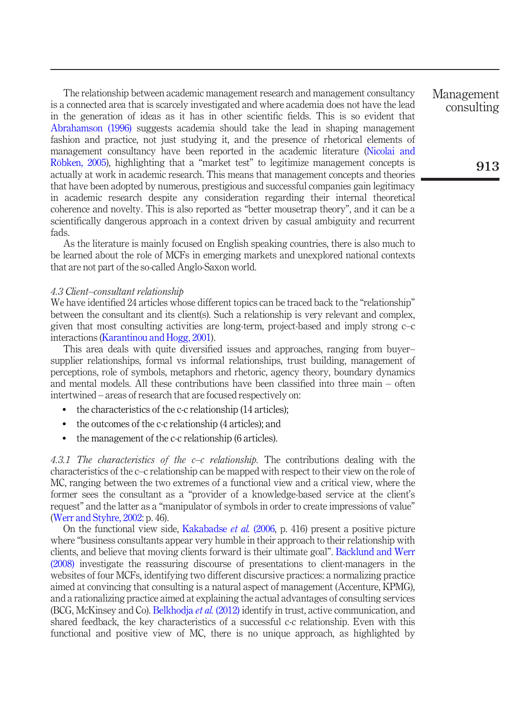The relationship between academic management research and management consultancy is a connected area that is scarcely investigated and where academia does not have the lead in the generation of ideas as it has in other scientific fields. This is so evident that [Abrahamson \(1996\)](#page-17-10) suggests academia should take the lead in shaping management fashion and practice, not just studying it, and the presence of rhetorical elements of management consultancy have been reported in the academic literature [\(Nicolai and](#page-21-16) [Röbken, 2005\)](#page-21-16), highlighting that a "market test" to legitimize management concepts is actually at work in academic research. This means that management concepts and theories that have been adopted by numerous, prestigious and successful companies gain legitimacy in academic research despite any consideration regarding their internal theoretical coherence and novelty. This is also reported as "better mousetrap theory", and it can be a scientifically dangerous approach in a context driven by casual ambiguity and recurrent fads.

As the literature is mainly focused on English speaking countries, there is also much to be learned about the role of MCFs in emerging markets and unexplored national contexts that are not part of the so-called Anglo-Saxon world.

#### 4.3 Client–consultant relationship

We have identified 24 articles whose different topics can be traced back to the "relationship" between the consultant and its client(s). Such a relationship is very relevant and complex, given that most consulting activities are long-term, project-based and imply strong c–c interactions ([Karantinou and Hogg, 2001\)](#page-20-15).

This area deals with quite diversified issues and approaches, ranging from buyer– supplier relationships, formal vs informal relationships, trust building, management of perceptions, role of symbols, metaphors and rhetoric, agency theory, boundary dynamics and mental models. All these contributions have been classified into three main – often intertwined – areas of research that are focused respectively on:

- the characteristics of the c-c relationship (14 articles);
- the outcomes of the c-c relationship (4 articles); and
- the management of the c-c relationship (6 articles).

4.3.1 The characteristics of the c-c relationship. The contributions dealing with the characteristics of the c–c relationship can be mapped with respect to their view on the role of MC, ranging between the two extremes of a functional view and a critical view, where the former sees the consultant as a "provider of a knowledge-based service at the client's request" and the latter as a "manipulator of symbols in order to create impressions of value" [\(Werr and Styhre, 2002](#page-23-9): p. 46).

On the functional view side, [Kakabadse](#page-19-15) *et al.*  $(2006, p. 416)$  present a positive picture where "business consultants appear very humble in their approach to their relationship with clients, and believe that moving clients forward is their ultimate goal". [Bäcklund and Werr](#page-17-13) [\(2008\)](#page-17-13) investigate the reassuring discourse of presentations to client-managers in the websites of four MCFs, identifying two different discursive practices: a normalizing practice aimed at convincing that consulting is a natural aspect of management (Accenture, KPMG), and a rationalizing practice aimed at explaining the actual advantages of consulting services (BCG, McKinsey and Co). [Belkhodja](#page-17-14) et al. (2012) identify in trust, active communication, and shared feedback, the key characteristics of a successful c-c relationship. Even with this functional and positive view of MC, there is no unique approach, as highlighted by Management consulting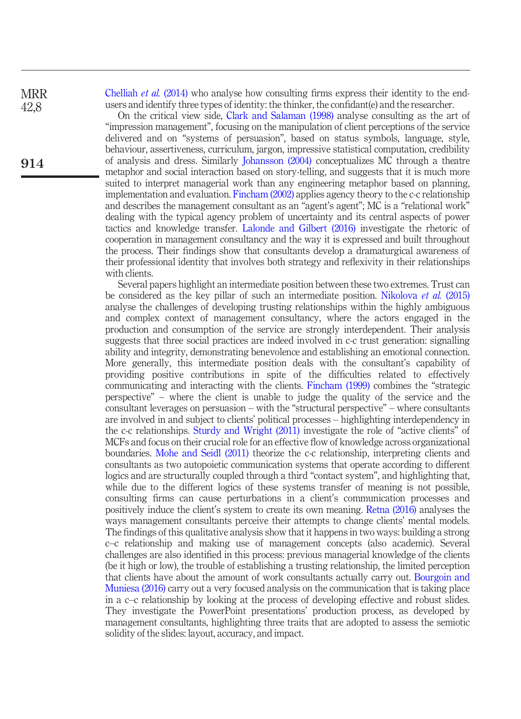[Chelliah](#page-18-15) et al. (2014) who analyse how consulting firms express their identity to the endusers and identify three types of identity: the thinker, the confidant(e) and the researcher.

On the critical view side, [Clark and Salaman \(1998\)](#page-18-16) analyse consulting as the art of "impression management", focusing on the manipulation of client perceptions of the service delivered and on "systems of persuasion", based on status symbols, language, style, behaviour, assertiveness, curriculum, jargon, impressive statistical computation, credibility of analysis and dress. Similarly [Johansson \(2004\)](#page-19-16) conceptualizes MC through a theatre metaphor and social interaction based on story-telling, and suggests that it is much more suited to interpret managerial work than any engineering metaphor based on planning, implementation and evaluation. [Fincham \(2002\)](#page-19-17) applies agency theory to the c-c relationship and describes the management consultant as an "agent's agent"; MC is a "relational work" dealing with the typical agency problem of uncertainty and its central aspects of power tactics and knowledge transfer. [Lalonde and Gilbert \(2016\)](#page-20-16) investigate the rhetoric of cooperation in management consultancy and the way it is expressed and built throughout the process. Their findings show that consultants develop a dramaturgical awareness of their professional identity that involves both strategy and reflexivity in their relationships with clients.

Several papers highlight an intermediate position between these two extremes. Trust can be considered as the key pillar of such an intermediate position. [Nikolova](#page-21-17) et al. (2015) analyse the challenges of developing trusting relationships within the highly ambiguous and complex context of management consultancy, where the actors engaged in the production and consumption of the service are strongly interdependent. Their analysis suggests that three social practices are indeed involved in c-c trust generation: signalling ability and integrity, demonstrating benevolence and establishing an emotional connection. More generally, this intermediate position deals with the consultant's capability of providing positive contributions in spite of the difficulties related to effectively communicating and interacting with the clients. [Fincham \(1999\)](#page-19-18) combines the "strategic perspective" – where the client is unable to judge the quality of the service and the consultant leverages on persuasion – with the "structural perspective" – where consultants are involved in and subject to clients' political processes – highlighting interdependency in the c-c relationships. [Sturdy and Wright \(2011\)](#page-22-16) investigate the role of "active clients" of MCFs and focus on their crucial role for an effective flow of knowledge across organizational boundaries. [Mohe and Seidl \(2011\)](#page-21-18) theorize the c-c relationship, interpreting clients and consultants as two autopoietic communication systems that operate according to different logics and are structurally coupled through a third "contact system", and highlighting that, while due to the different logics of these systems transfer of meaning is not possible, consulting firms can cause perturbations in a client's communication processes and positively induce the client's system to create its own meaning. [Retna \(2016\)](#page-22-17) analyses the ways management consultants perceive their attempts to change clients' mental models. The findings of this qualitative analysis show that it happens in two ways: building a strong c–c relationship and making use of management concepts (also academic). Several challenges are also identified in this process: previous managerial knowledge of the clients (be it high or low), the trouble of establishing a trusting relationship, the limited perception that clients have about the amount of work consultants actually carry out. [Bourgoin and](#page-18-17) [Muniesa \(2016\)](#page-18-17) carry out a very focused analysis on the communication that is taking place in a c–c relationship by looking at the process of developing effective and robust slides. They investigate the PowerPoint presentations' production process, as developed by management consultants, highlighting three traits that are adopted to assess the semiotic solidity of the slides: layout, accuracy, and impact.

914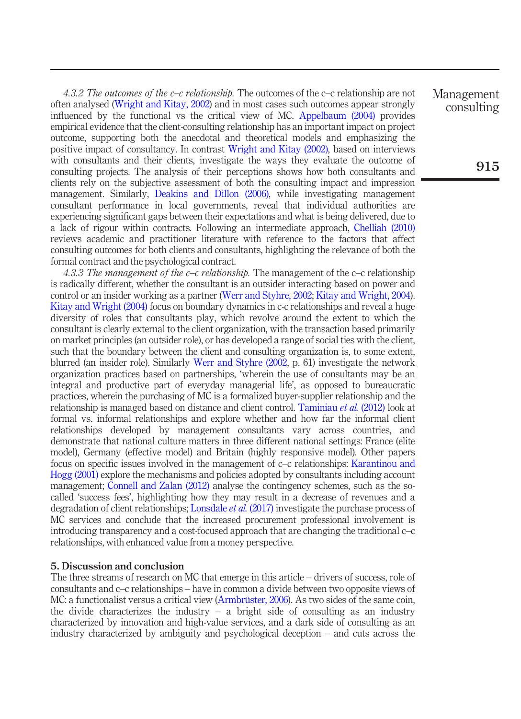4.3.2 The outcomes of the c–c relationship. The outcomes of the c–c relationship are not often analysed [\(Wright and Kitay, 2002](#page-23-10)) and in most cases such outcomes appear strongly influenced by the functional vs the critical view of MC. [Appelbaum \(2004\)](#page-17-15) provides empirical evidence that the client-consulting relationship has an important impact on project outcome, supporting both the anecdotal and theoretical models and emphasizing the positive impact of consultancy. In contrast [Wright and Kitay \(2002\),](#page-23-10) based on interviews with consultants and their clients, investigate the ways they evaluate the outcome of consulting projects. The analysis of their perceptions shows how both consultants and clients rely on the subjective assessment of both the consulting impact and impression management. Similarly, [Deakins and Dillon \(2006\),](#page-19-19) while investigating management consultant performance in local governments, reveal that individual authorities are experiencing significant gaps between their expectations and what is being delivered, due to a lack of rigour within contracts. Following an intermediate approach, [Chelliah \(2010\)](#page-18-18) reviews academic and practitioner literature with reference to the factors that affect consulting outcomes for both clients and consultants, highlighting the relevance of both the formal contract and the psychological contract.

4.3.3 The management of the  $c-c$  relationship. The management of the  $c-c$  relationship is radically different, whether the consultant is an outsider interacting based on power and control or an insider working as a partner [\(Werr and Styhre, 2002](#page-23-9); [Kitay and Wright, 2004\)](#page-20-17). [Kitay and Wright \(2004\)](#page-20-17) focus on boundary dynamics in c-c relationships and reveal a huge diversity of roles that consultants play, which revolve around the extent to which the consultant is clearly external to the client organization, with the transaction based primarily on market principles (an outsider role), or has developed a range of social ties with the client, such that the boundary between the client and consulting organization is, to some extent, blurred (an insider role). Similarly [Werr and Styhre \(2002,](#page-23-9) p. 61) investigate the network organization practices based on partnerships, 'wherein the use of consultants may be an integral and productive part of everyday managerial life', as opposed to bureaucratic practices, wherein the purchasing of MC is a formalized buyer-supplier relationship and the relationship is managed based on distance and client control. [Taminiau](#page-22-18) *et al.* (2012) look at formal vs. informal relationships and explore whether and how far the informal client relationships developed by management consultants vary across countries, and demonstrate that national culture matters in three different national settings: France (elite model), Germany (effective model) and Britain (highly responsive model). Other papers focus on specific issues involved in the management of c–c relationships: [Karantinou and](#page-20-15) [Hogg \(2001\)](#page-20-15) explore the mechanisms and policies adopted by consultants including account management; [Connell and Zalan \(2012\)](#page-18-19) analyse the contingency schemes, such as the socalled 'success fees', highlighting how they may result in a decrease of revenues and a degradation of client relationships; [Lonsdale](#page-20-18) *et al.* (2017) investigate the purchase process of MC services and conclude that the increased procurement professional involvement is introducing transparency and a cost-focused approach that are changing the traditional c–c relationships, with enhanced value from a money perspective.

#### 5. Discussion and conclusion

The three streams of research on MC that emerge in this article – drivers of success, role of consultants and c–c relationships – have in common a divide between two opposite views of MC: a functionalist versus a critical view [\(Armbrüster, 2006\)](#page-17-16). As two sides of the same coin, the divide characterizes the industry  $-$  a bright side of consulting as an industry characterized by innovation and high-value services, and a dark side of consulting as an industry characterized by ambiguity and psychological deception – and cuts across the Management consulting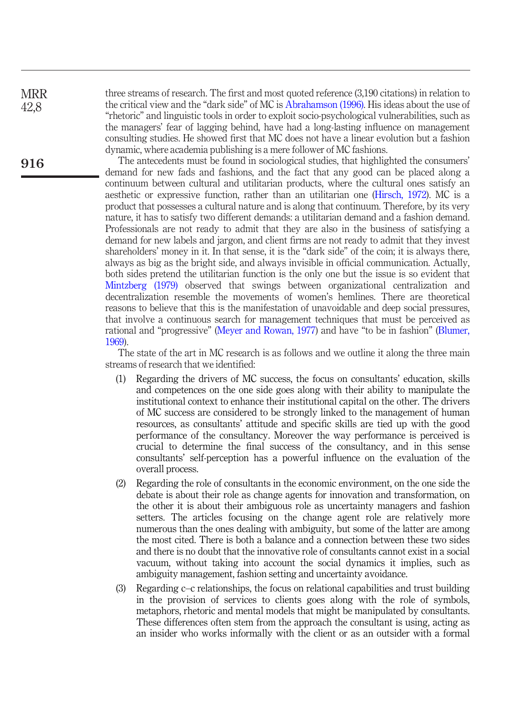**MRR** 42,8

916

three streams of research. The first and most quoted reference (3,190 citations) in relation to the critical view and the "dark side" of MC is [Abrahamson \(1996\)](#page-17-10). His ideas about the use of "rhetoric" and linguistic tools in order to exploit socio-psychological vulnerabilities, such as the managers' fear of lagging behind, have had a long-lasting influence on management consulting studies. He showed first that MC does not have a linear evolution but a fashion dynamic, where academia publishing is a mere follower of MC fashions.

The antecedents must be found in sociological studies, that highlighted the consumers' demand for new fads and fashions, and the fact that any good can be placed along a continuum between cultural and utilitarian products, where the cultural ones satisfy an aesthetic or expressive function, rather than an utilitarian one [\(Hirsch, 1972\)](#page-19-20). MC is a product that possesses a cultural nature and is along that continuum. Therefore, by its very nature, it has to satisfy two different demands: a utilitarian demand and a fashion demand. Professionals are not ready to admit that they are also in the business of satisfying a demand for new labels and jargon, and client firms are not ready to admit that they invest shareholders' money in it. In that sense, it is the "dark side" of the coin; it is always there, always as big as the bright side, and always invisible in official communication. Actually, both sides pretend the utilitarian function is the only one but the issue is so evident that [Mintzberg \(1979\)](#page-21-19) observed that swings between organizational centralization and decentralization resemble the movements of women's hemlines. There are theoretical reasons to believe that this is the manifestation of unavoidable and deep social pressures, that involve a continuous search for management techniques that must be perceived as rational and "progressive" ([Meyer and Rowan, 1977\)](#page-21-20) and have "to be in fashion" [\(Blumer,](#page-17-17) [1969](#page-17-17)).

The state of the art in MC research is as follows and we outline it along the three main streams of research that we identified:

- (1) Regarding the drivers of MC success, the focus on consultants' education, skills and competences on the one side goes along with their ability to manipulate the institutional context to enhance their institutional capital on the other. The drivers of MC success are considered to be strongly linked to the management of human resources, as consultants' attitude and specific skills are tied up with the good performance of the consultancy. Moreover the way performance is perceived is crucial to determine the final success of the consultancy, and in this sense consultants' self-perception has a powerful influence on the evaluation of the overall process.
- (2) Regarding the role of consultants in the economic environment, on the one side the debate is about their role as change agents for innovation and transformation, on the other it is about their ambiguous role as uncertainty managers and fashion setters. The articles focusing on the change agent role are relatively more numerous than the ones dealing with ambiguity, but some of the latter are among the most cited. There is both a balance and a connection between these two sides and there is no doubt that the innovative role of consultants cannot exist in a social vacuum, without taking into account the social dynamics it implies, such as ambiguity management, fashion setting and uncertainty avoidance.
- (3) Regarding c–c relationships, the focus on relational capabilities and trust building in the provision of services to clients goes along with the role of symbols, metaphors, rhetoric and mental models that might be manipulated by consultants. These differences often stem from the approach the consultant is using, acting as an insider who works informally with the client or as an outsider with a formal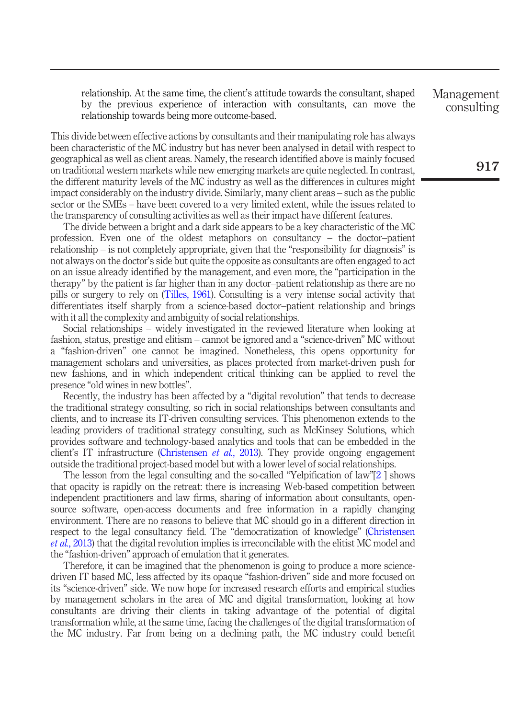relationship. At the same time, the client's attitude towards the consultant, shaped by the previous experience of interaction with consultants, can move the relationship towards being more outcome-based.

This divide between effective actions by consultants and their manipulating role has always been characteristic of the MC industry but has never been analysed in detail with respect to geographical as well as client areas. Namely, the research identified above is mainly focused on traditional western markets while new emerging markets are quite neglected. In contrast, the different maturity levels of the MC industry as well as the differences in cultures might impact considerably on the industry divide. Similarly, many client areas – such as the public sector or the SMEs – have been covered to a very limited extent, while the issues related to the transparency of consulting activities as well as their impact have different features.

The divide between a bright and a dark side appears to be a key characteristic of the MC profession. Even one of the oldest metaphors on consultancy – the doctor–patient relationship – is not completely appropriate, given that the "responsibility for diagnosis" is not always on the doctor's side but quite the opposite as consultants are often engaged to act on an issue already identified by the management, and even more, the "participation in the therapy" by the patient is far higher than in any doctor–patient relationship as there are no pills or surgery to rely on ([Tilles, 1961\)](#page-22-19). Consulting is a very intense social activity that differentiates itself sharply from a science-based doctor–patient relationship and brings with it all the complexity and ambiguity of social relationships.

Social relationships – widely investigated in the reviewed literature when looking at fashion, status, prestige and elitism – cannot be ignored and a "science-driven" MC without a "fashion-driven" one cannot be imagined. Nonetheless, this opens opportunity for management scholars and universities, as places protected from market-driven push for new fashions, and in which independent critical thinking can be applied to revel the presence "old wines in new bottles".

Recently, the industry has been affected by a "digital revolution" that tends to decrease the traditional strategy consulting, so rich in social relationships between consultants and clients, and to increase its IT-driven consulting services. This phenomenon extends to the leading providers of traditional strategy consulting, such as McKinsey Solutions, which provides software and technology-based analytics and tools that can be embedded in the client's IT infrastructure ([Christensen](#page-18-1) *et al.*, 2013). They provide ongoing engagement outside the traditional project-based model but with a lower level of social relationships.

The lesson from the legal consulting and the so-called "Yelpification of law"[\[2](#page-16-1) ] shows that opacity is rapidly on the retreat: there is increasing Web-based competition between independent practitioners and law firms, sharing of information about consultants, opensource software, open-access documents and free information in a rapidly changing environment. There are no reasons to believe that MC should go in a different direction in respect to the legal consultancy field. The "democratization of knowledge" ([Christensen](#page-18-1) et al.[, 2013](#page-18-1)) that the digital revolution implies is irreconcilable with the elitist MC model and the "fashion-driven" approach of emulation that it generates.

Therefore, it can be imagined that the phenomenon is going to produce a more sciencedriven IT based MC, less affected by its opaque "fashion-driven" side and more focused on its "science-driven" side. We now hope for increased research efforts and empirical studies by management scholars in the area of MC and digital transformation, looking at how consultants are driving their clients in taking advantage of the potential of digital transformation while, at the same time, facing the challenges of the digital transformation of the MC industry. Far from being on a declining path, the MC industry could benefit Management consulting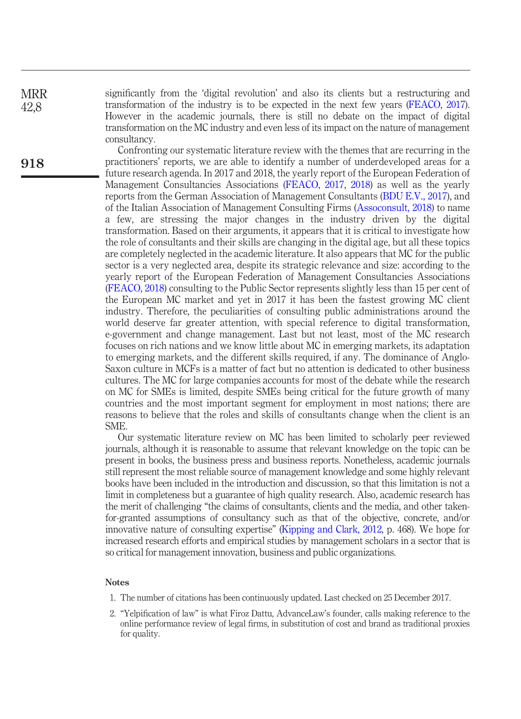significantly from the 'digital revolution' and also its clients but a restructuring and transformation of the industry is to be expected in the next few years [\(FEACO, 2017\)](#page-19-0). However in the academic journals, there is still no debate on the impact of digital transformation on the MC industry and even less of its impact on the nature of management consultancy. **MRR** 

> Confronting our systematic literature review with the themes that are recurring in the practitioners' reports, we are able to identify a number of underdeveloped areas for a future research agenda. In 2017 and 2018, the yearly report of the European Federation of Management Consultancies Associations ([FEACO, 2017](#page-19-0), [2018\)](#page-19-21) as well as the yearly reports from the German Association of Management Consultants ([BDU E.V., 2017](#page-17-18)), and of the Italian Association of Management Consulting Firms ([Assoconsult, 2018\)](#page-17-19) to name a few, are stressing the major changes in the industry driven by the digital transformation. Based on their arguments, it appears that it is critical to investigate how the role of consultants and their skills are changing in the digital age, but all these topics are completely neglected in the academic literature. It also appears that MC for the public sector is a very neglected area, despite its strategic relevance and size: according to the yearly report of the European Federation of Management Consultancies Associations [\(FEACO, 2018\)](#page-19-21) consulting to the Public Sector represents slightly less than 15 per cent of the European MC market and yet in 2017 it has been the fastest growing MC client industry. Therefore, the peculiarities of consulting public administrations around the world deserve far greater attention, with special reference to digital transformation, e-government and change management. Last but not least, most of the MC research focuses on rich nations and we know little about MC in emerging markets, its adaptation to emerging markets, and the different skills required, if any. The dominance of Anglo-Saxon culture in MCFs is a matter of fact but no attention is dedicated to other business cultures. The MC for large companies accounts for most of the debate while the research on MC for SMEs is limited, despite SMEs being critical for the future growth of many countries and the most important segment for employment in most nations; there are reasons to believe that the roles and skills of consultants change when the client is an SME.

> Our systematic literature review on MC has been limited to scholarly peer reviewed journals, although it is reasonable to assume that relevant knowledge on the topic can be present in books, the business press and business reports. Nonetheless, academic journals still represent the most reliable source of management knowledge and some highly relevant books have been included in the introduction and discussion, so that this limitation is not a limit in completeness but a guarantee of high quality research. Also, academic research has the merit of challenging "the claims of consultants, clients and the media, and other takenfor-granted assumptions of consultancy such as that of the objective, concrete, and/or innovative nature of consulting expertise" [\(Kipping and Clark, 2012](#page-20-19), p. 468). We hope for increased research efforts and empirical studies by management scholars in a sector that is so critical for management innovation, business and public organizations.

#### **Notes**

42,8

- <span id="page-16-0"></span>1. The number of citations has been continuously updated. Last checked on 25 December 2017.
- <span id="page-16-1"></span>2. "Yelpification of law" is what Firoz Dattu, AdvanceLaw's founder, calls making reference to the online performance review of legal firms, in substitution of cost and brand as traditional proxies for quality.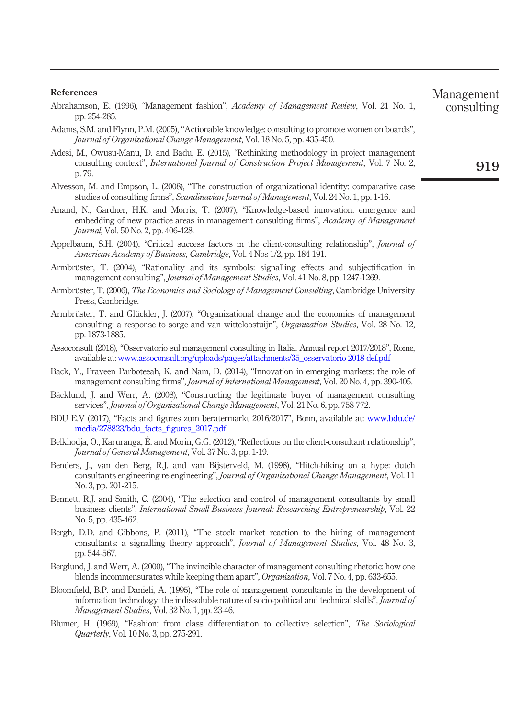<span id="page-17-16"></span><span id="page-17-15"></span><span id="page-17-10"></span><span id="page-17-6"></span><span id="page-17-3"></span><span id="page-17-2"></span><span id="page-17-1"></span><span id="page-17-0"></span>

| References                                                                                                                                                                                                                           | Management |
|--------------------------------------------------------------------------------------------------------------------------------------------------------------------------------------------------------------------------------------|------------|
| Abrahamson, E. (1996), "Management fashion", Academy of Management Review, Vol. 21 No. 1,<br>pp. 254-285.                                                                                                                            | consulting |
| "Adams, S.M. and Flynn, P.M. (2005), "Actionable knowledge: consulting to promote women on boards",<br><i>Journal of Organizational Change Management, Vol. 18 No. 5, pp. 435-450.</i>                                               |            |
| Adesi, M., Owusu-Manu, D. and Badu, E. (2015), "Rethinking methodology in project management<br>consulting context", International Journal of Construction Project Management, Vol. 7 No. 2,<br>p. 79.                               | 919        |
| Alvesson, M. and Empson, L. (2008), "The construction of organizational identity: comparative case<br>studies of consulting firms", <i>Scandinavian Journal of Management</i> , Vol. 24 No. 1, pp. 1-16.                             |            |
| Anand, N., Gardner, H.K. and Morris, T. (2007), "Knowledge-based innovation: emergence and<br>embedding of new practice areas in management consulting firms", Academy of Management<br><i>Journal</i> , Vol. 50 No. 2, pp. 406-428. |            |
| Appelbaum, S.H. (2004), "Critical success factors in the client-consulting relationship", <i>Journal of</i><br><i>American Academy of Business, Cambridge, Vol. 4 Nos 1/2, pp. 184-191.</i>                                          |            |
| Armbrüster, T. (2004), "Rationality and its symbols: signalling effects and subjectification in<br>management consulting", <i>Journal of Management Studies</i> , Vol. 41 No. 8, pp. 1247-1269.                                      |            |
| Armbrüster, T. (2006), <i>The Economics and Sociology of Management Consulting</i> , Cambridge University<br>Press, Cambridge.                                                                                                       |            |
| Armbrüster, T. and Glückler, J. (2007), "Organizational change and the economics of management<br>consulting: a response to sorge and van witteloostuijn", Organization Studies, Vol. 28 No. 12,<br>pp. 1873-1885.                   |            |
| Assoconsult (2018), "Osservatorio sul management consulting in Italia. Annual report 2017/2018", Rome,<br>available at: www.assoconsult.org/uploads/pages/attachments/35_osservatorio-2018-def.pdf                                   |            |
| Back, Y., Praveen Parboteeah, K. and Nam, D. (2014), "Innovation in emerging markets: the role of<br>management consulting firms", Journal of International Management, Vol. 20 No. 4, pp. 390-405.                                  |            |
| Bäcklund, J. and Werr, A. (2008), "Constructing the legitimate buyer of management consulting<br>services", Journal of Organizational Change Management, Vol. 21 No. 6, pp. 758-772.                                                 |            |
| BDU E.V (2017), "Facts and figures zum beratermarkt 2016/2017", Bonn, available at: www.bdu.de/<br>media/278823/bdu_facts_figures_2017.pdf                                                                                           |            |
| Belkhodja, O., Karuranga, É. and Morin, G.G. (2012), "Reflections on the client-consultant relationship",<br>Journal of General Management, Vol. 37 No. 3, pp. 1-19.                                                                 |            |
| Benders, J., van den Berg, R.J. and van Bijsterveld, M. (1998), "Hitch-hiking on a hype: dutch<br>consultants engineering re-engineering", Journal of Organizational Change Management, Vol. 11<br>No. 3, pp. 201-215.               |            |
| Bennett, R.J. and Smith, C. (2004), "The selection and control of management consultants by small<br>business clients", International Small Business Journal: Researching Entrepreneurship, Vol. 22                                  |            |

<span id="page-17-9"></span>Bergh, D.D. and Gibbons, P. (2011), "The stock market reaction to the hiring of management consultants: a signalling theory approach", Journal of Management Studies, Vol. 48 No. 3, pp. 544-567.

<span id="page-17-19"></span><span id="page-17-18"></span><span id="page-17-14"></span><span id="page-17-13"></span><span id="page-17-11"></span><span id="page-17-8"></span><span id="page-17-5"></span><span id="page-17-4"></span>No. 5, pp. 435-462.

- <span id="page-17-12"></span>Berglund, J. and Werr, A. (2000), "The invincible character of management consulting rhetoric: how one blends incommensurates while keeping them apart", Organization, Vol. 7 No. 4, pp. 633-655.
- <span id="page-17-7"></span>Bloomfield, B.P. and Danieli, A. (1995), "The role of management consultants in the development of information technology: the indissoluble nature of socio-political and technical skills", Journal of Management Studies, Vol. 32 No. 1, pp. 23-46.
- <span id="page-17-17"></span>Blumer, H. (1969), "Fashion: from class differentiation to collective selection", The Sociological Quarterly, Vol. 10 No. 3, pp. 275-291.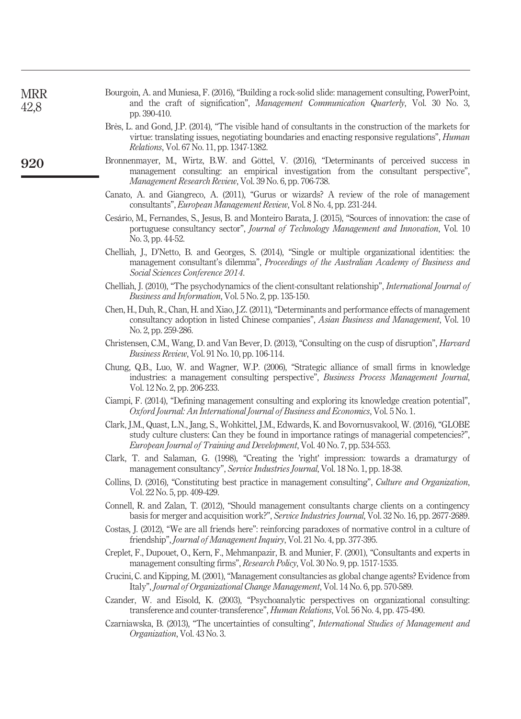<span id="page-18-19"></span><span id="page-18-18"></span><span id="page-18-17"></span><span id="page-18-16"></span><span id="page-18-15"></span><span id="page-18-14"></span><span id="page-18-13"></span><span id="page-18-12"></span><span id="page-18-11"></span><span id="page-18-10"></span><span id="page-18-9"></span><span id="page-18-8"></span><span id="page-18-7"></span><span id="page-18-6"></span><span id="page-18-5"></span><span id="page-18-4"></span><span id="page-18-3"></span><span id="page-18-2"></span><span id="page-18-1"></span><span id="page-18-0"></span>

| <b>MRR</b><br>42,8 | Bourgoin, A. and Muniesa, F. (2016), "Building a rock-solid slide: management consulting, PowerPoint,<br>and the craft of signification", Management Communication Quarterly, Vol. 30 No. 3,<br>pp. 390-410.                                                                         |
|--------------------|--------------------------------------------------------------------------------------------------------------------------------------------------------------------------------------------------------------------------------------------------------------------------------------|
|                    | Brès, L. and Gond, J.P. (2014), "The visible hand of consultants in the construction of the markets for<br>virtue: translating issues, negotiating boundaries and enacting responsive regulations", Human<br><i>Relations, Vol. 67 No. 11, pp. 1347-1382.</i>                        |
| 920                | Bronnenmayer, M., Wirtz, B.W. and Göttel, V. (2016), "Determinants of perceived success in<br>management consulting: an empirical investigation from the consultant perspective",<br>Management Research Review, Vol. 39 No. 6, pp. 706-738.                                         |
|                    | Canato, A. and Giangreco, A. (2011), "Gurus or wizards? A review of the role of management<br>consultants", <i>European Management Review</i> , Vol. 8 No. 4, pp. 231-244.                                                                                                           |
|                    | Cesário, M., Fernandes, S., Jesus, B. and Monteiro Barata, J. (2015), "Sources of innovation: the case of<br>portuguese consultancy sector", Journal of Technology Management and Innovation, Vol. 10<br>No. 3, pp. 44-52.                                                           |
|                    | Chelliah, J., D'Netto, B. and Georges, S. (2014), "Single or multiple organizational identities: the<br>management consultant's dilemma", Proceedings of the Australian Academy of Business and<br>Social Sciences Conference 2014.                                                  |
|                    | Chelliah, J. (2010), "The psychodynamics of the client-consultant relationship", International Journal of<br>Business and Information, Vol. 5 No. 2, pp. 135-150.                                                                                                                    |
|                    | Chen, H., Duh, R., Chan, H. and Xiao, J.Z. (2011), "Determinants and performance effects of management<br>consultancy adoption in listed Chinese companies", Asian Business and Management, Vol. 10<br>No. 2, pp. 259-286.                                                           |
|                    | Christensen, C.M., Wang, D. and Van Bever, D. (2013), "Consulting on the cusp of disruption", <i>Harvard</i><br><i>Business Review, Vol.</i> 91 No. 10, pp. 106-114.                                                                                                                 |
|                    | Chung, Q.B., Luo, W. and Wagner, W.P. (2006), "Strategic alliance of small firms in knowledge<br>industries: a management consulting perspective", Business Process Management Journal,<br>Vol. 12 No. 2, pp. 206-233.                                                               |
|                    | Ciampi, F. (2014), "Defining management consulting and exploring its knowledge creation potential",<br>Oxford Journal: An International Journal of Business and Economics, Vol. 5 No. 1.                                                                                             |
|                    | Clark, J.M., Quast, L.N., Jang, S., Wohkittel, J.M., Edwards, K. and Bovornusvakool, W. (2016), "GLOBE<br>study culture clusters: Can they be found in importance ratings of managerial competencies?",<br>European Journal of Training and Development, Vol. 40 No. 7, pp. 534-553. |
|                    | Clark, T. and Salaman, G. (1998), "Creating the 'right' impression: towards a dramaturgy of<br>management consultancy", Service Industries Journal, Vol. 18 No. 1, pp. 18-38.                                                                                                        |
|                    | Collins, D. (2016), "Constituting best practice in management consulting", <i>Culture and Organization</i> ,<br>Vol. 22 No. 5, pp. 409-429.                                                                                                                                          |
|                    | Connell, R. and Zalan, T. (2012), "Should management consultants charge clients on a contingency<br>basis for merger and acquisition work?", Service Industries Journal, Vol. 32 No. 16, pp. 2677-2689.                                                                              |
|                    | Costas, J. (2012), "We are all friends here": reinforcing paradoxes of normative control in a culture of<br>friendship", Journal of Management Inquiry, Vol. 21 No. 4, pp. 377-395.                                                                                                  |
|                    | Creplet, F., Dupouet, O., Kern, F., Mehmanpazir, B. and Munier, F. (2001), "Consultants and experts in<br>management consulting firms", <i>Research Policy</i> , Vol. 30 No. 9, pp. 1517-1535.                                                                                       |
|                    | Crucini, C. and Kipping, M. (2001), "Management consultancies as global change agents? Evidence from<br>Italy", Journal of Organizational Change Management, Vol. 14 No. 6, pp. 570-589.                                                                                             |
|                    | Czander, W. and Eisold, K. (2003), "Psychoanalytic perspectives on organizational consulting:<br>transference and counter-transference", Human Relations, Vol. 56 No. 4, pp. 475-490.                                                                                                |
|                    | Czarniawska, B. (2013), "The uncertainties of consulting", International Studies of Management and<br>Organization, Vol. 43 No. 3.                                                                                                                                                   |
|                    |                                                                                                                                                                                                                                                                                      |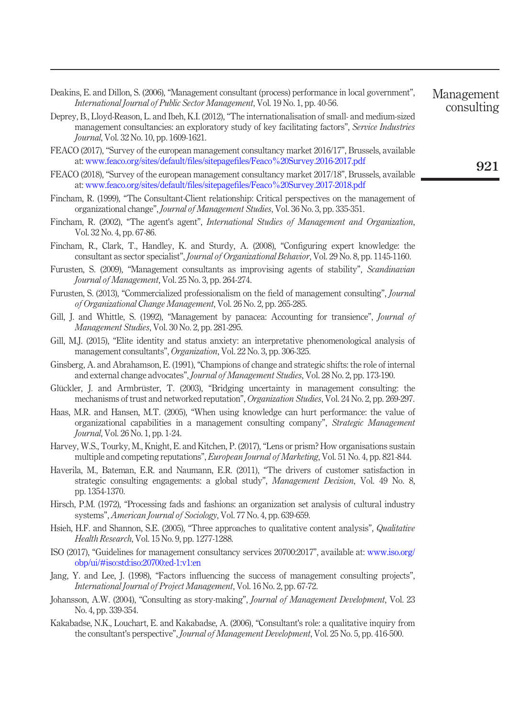<span id="page-19-21"></span><span id="page-19-20"></span><span id="page-19-18"></span><span id="page-19-17"></span><span id="page-19-16"></span><span id="page-19-15"></span><span id="page-19-14"></span><span id="page-19-13"></span><span id="page-19-12"></span><span id="page-19-11"></span><span id="page-19-10"></span><span id="page-19-9"></span><span id="page-19-8"></span><span id="page-19-7"></span><span id="page-19-6"></span><span id="page-19-5"></span><span id="page-19-4"></span><span id="page-19-3"></span><span id="page-19-2"></span><span id="page-19-1"></span><span id="page-19-0"></span>

| <i>International Journal of Public Sector Management, Vol. 19 No. 1, pp. 40-56.</i>                                                                                                                                                                            | consulting |
|----------------------------------------------------------------------------------------------------------------------------------------------------------------------------------------------------------------------------------------------------------------|------------|
| Deprey, B., Lloyd-Reason, L. and Ibeh, K.I. (2012), "The internationalisation of small- and medium-sized<br>management consultancies: an exploratory study of key facilitating factors", Service Industries<br><i>Journal</i> , Vol. 32 No. 10, pp. 1609-1621. |            |
| FEACO (2017), "Survey of the european management consultancy market 2016/17", Brussels, available<br>at: www.feaco.org/sites/default/files/sitepagefiles/Feaco%20Survey.2016-2017.pdf                                                                          | 921        |
| FEACO (2018), "Survey of the european management consultancy market 2017/18", Brussels, available<br>at: www.feaco.org/sites/default/files/sitepagefiles/Feaco%20Survey.2017-2018.pdf                                                                          |            |
| Fincham, R. (1999), "The Consultant-Client relationship: Critical perspectives on the management of<br>organizational change", <i>Journal of Management Studies</i> , Vol. 36 No. 3, pp. 335-351.                                                              |            |
| Fincham, R. (2002), "The agent's agent", International Studies of Management and Organization,<br>Vol. 32 No. 4, pp. 67-86.                                                                                                                                    |            |
| Fincham, R., Clark, T., Handley, K. and Sturdy, A. (2008), "Configuring expert knowledge: the<br>consultant as sector specialist", Journal of Organizational Behavior, Vol. 29 No. 8, pp. 1145-1160.                                                           |            |
| Furusten, S. (2009), "Management consultants as improvising agents of stability", Scandinavian<br>Journal of Management, Vol. 25 No. 3, pp. 264-274.                                                                                                           |            |
| Furusten, S. (2013), "Commercialized professionalism on the field of management consulting", <i>Journal</i><br>of Organizational Change Management, Vol. 26 No. 2, pp. 265-285.                                                                                |            |
| Gill, J. and Whittle, S. (1992), "Management by panacea: Accounting for transience", <i>Journal of</i><br><i>Management Studies, Vol. 30 No. 2, pp. 281-295.</i>                                                                                               |            |
| Gill, M.J. (2015), "Elite identity and status anxiety: an interpretative phenomenological analysis of<br>management consultants", <i>Organization</i> , Vol. 22 No. 3, pp. 306-325.                                                                            |            |
| Ginsberg, A. and Abrahamson, E. (1991), "Champions of change and strategic shifts: the role of internal<br>and external change advocates", Journal of Management Studies, Vol. 28 No. 2, pp. 173-190.                                                          |            |
| Glückler, J. and Armbrüster, T. (2003), "Bridging uncertainty in management consulting: the<br>mechanisms of trust and networked reputation", <i>Organization Studies</i> , Vol. 24 No. 2, pp. 269-297.                                                        |            |
| Haas, M.R. and Hansen, M.T. (2005), "When using knowledge can hurt performance: the value of<br>organizational capabilities in a management consulting company", Strategic Management<br><i>Journal</i> , Vol. 26 No. 1, pp. 1-24.                             |            |
| Harvey, W.S., Tourky, M., Knight, E. and Kitchen, P. (2017), "Lens or prism? How organisations sustain<br>multiple and competing reputations", <i>European Journal of Marketing</i> , Vol. 51 No. 4, pp. 821-844.                                              |            |
| Haverila, M., Bateman, E.R. and Naumann, E.R. (2011), "The drivers of customer satisfaction in<br>strategic consulting engagements: a global study", Management Decision, Vol. 49 No. 8,<br>pp. 1354-1370.                                                     |            |
| Hirsch, P.M. (1972), "Processing fads and fashions: an organization set analysis of cultural industry<br>systems", American Journal of Sociology, Vol. 77 No. 4, pp. 639-659.                                                                                  |            |
| Hsieh, H.F. and Shannon, S.E. (2005), "Three approaches to qualitative content analysis", Qualitative<br>Health Research, Vol. 15 No. 9, pp. 1277-1288.                                                                                                        |            |
| ISO (2017), "Guidelines for management consultancy services 20700:2017", available at: www.iso.org/<br>obp/ui/#iso:std:iso:20700:ed-1:v1:en                                                                                                                    |            |
| Jang, Y. and Lee, J. (1998), "Factors influencing the success of management consulting projects",<br><i>International Journal of Project Management, Vol. 16 No. 2, pp. 67-72.</i>                                                                             |            |
| Johansson, A.W. (2004), "Consulting as story-making", Journal of Management Development, Vol. 23<br>No. 4, pp. 339-354.                                                                                                                                        |            |
| Kakabadse, N.K., Louchart, E. and Kakabadse, A. (2006), "Consultant's role: a qualitative inquiry from<br>the consultant's perspective", <i>Journal of Management Development</i> , Vol. 25 No. 5, pp. 416-500.                                                |            |
|                                                                                                                                                                                                                                                                |            |

<span id="page-19-19"></span>Deakins, E. and Dillon, S. (2006), "Management consultant (process) performance in local government",

Management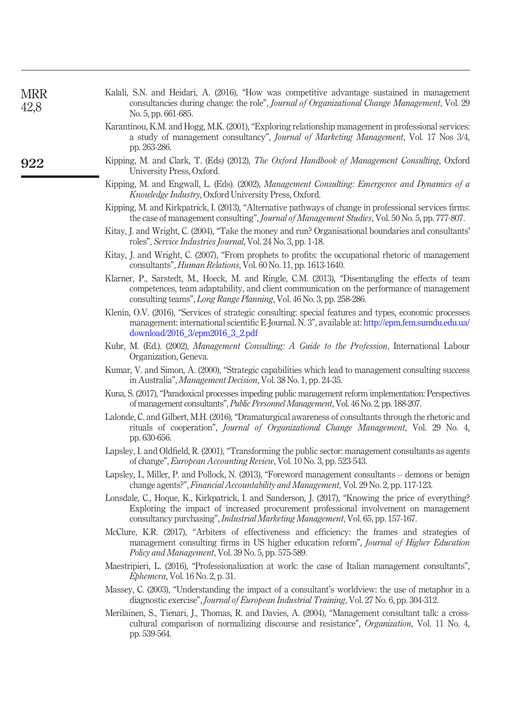<span id="page-20-19"></span><span id="page-20-18"></span><span id="page-20-17"></span><span id="page-20-16"></span><span id="page-20-15"></span><span id="page-20-14"></span><span id="page-20-13"></span><span id="page-20-12"></span><span id="page-20-11"></span><span id="page-20-10"></span><span id="page-20-9"></span><span id="page-20-8"></span><span id="page-20-7"></span><span id="page-20-6"></span><span id="page-20-5"></span><span id="page-20-4"></span><span id="page-20-3"></span><span id="page-20-2"></span><span id="page-20-1"></span><span id="page-20-0"></span>

| <b>MRR</b><br>42,8 | Kalali, S.N. and Heidari, A. (2016), "How was competitive advantage sustained in management<br>consultancies during change: the role", Journal of Organizational Change Management, Vol. 29<br>No. 5, pp. 661-685.                                                                      |
|--------------------|-----------------------------------------------------------------------------------------------------------------------------------------------------------------------------------------------------------------------------------------------------------------------------------------|
|                    | Karantinou, K.M. and Hogg, M.K. (2001), "Exploring relationship management in professional services:<br>a study of management consultancy", Journal of Marketing Management, Vol. 17 Nos 3/4,<br>pp. 263-286.                                                                           |
| 922                | Kipping, M. and Clark, T. (Eds) (2012), The Oxford Handbook of Management Consulting, Oxford<br>University Press, Oxford.                                                                                                                                                               |
|                    | Kipping, M. and Engwall, L. (Eds). (2002), Management Consulting: Emergence and Dynamics of a<br><i>Knowledge Industry</i> , Oxford University Press, Oxford.                                                                                                                           |
|                    | Kipping, M. and Kirkpatrick, I. (2013), "Alternative pathways of change in professional services firms:<br>the case of management consulting", Journal of Management Studies, Vol. 50 No. 5, pp. 777-807.                                                                               |
|                    | Kitay, J. and Wright, C. (2004), "Take the money and run? Organisational boundaries and consultants'<br>roles", <i>Service Industries Journal</i> , Vol. 24 No. 3, pp. 1-18.                                                                                                            |
|                    | Kitay, J. and Wright, C. (2007), "From prophets to profits: the occupational rhetoric of management<br>consultants", <i>Human Relations</i> , Vol. 60 No. 11, pp. 1613-1640.                                                                                                            |
|                    | Klarner, P., Sarstedt, M., Hoeck, M. and Ringle, C.M. (2013), "Disentangling the effects of team<br>competences, team adaptability, and client communication on the performance of management<br>consulting teams", Long Range Planning, Vol. 46 No. 3, pp. 258-286.                    |
|                    | Klenin, O.V. (2016), "Services of strategic consulting: special features and types, economic processes<br>management: international scientific E-Journal. N. 3", available at: http://epm.fem.sumdu.edu.ua/<br>download/2016_3/epm2016_3_2.pdf                                          |
|                    | Kubr, M. (Ed.). (2002), Management Consulting: A Guide to the Profession, International Labour<br>Organization, Geneva.                                                                                                                                                                 |
|                    | Kumar, V. and Simon, A. (2000), "Strategic capabilities which lead to management consulting success<br>in Australia", <i>Management Decision</i> , Vol. 38 No. 1, pp. 24-35.                                                                                                            |
|                    | Kuna, S. (2017), "Paradoxical processes impeding public management reform implementation: Perspectives<br>of management consultants", Public Personnel Management, Vol. 46 No. 2, pp. 188-207.                                                                                          |
|                    | Lalonde, C. and Gilbert, M.H. (2016), "Dramaturgical awareness of consultants through the rhetoric and<br>rituals of cooperation", Journal of Organizational Change Management, Vol. 29 No. 4,<br>pp. 630-656.                                                                          |
|                    | Lapsley, I. and Oldfield, R. (2001), "Transforming the public sector: management consultants as agents<br>of change", <i>European Accounting Review</i> , Vol. 10 No. 3, pp. 523-543.                                                                                                   |
|                    | Lapsley, I., Miller, P. and Pollock, N. (2013), "Foreword management consultants – demons or benign<br>change agents?", Financial Accountability and Management, Vol. 29 No. 2, pp. 117-123.                                                                                            |
|                    | Lonsdale, C., Hoque, K., Kirkpatrick, I. and Sanderson, J. (2017), "Knowing the price of everything?<br>Exploring the impact of increased procurement professional involvement on management<br>consultancy purchasing", <i>Industrial Marketing Management</i> , Vol. 65, pp. 157-167. |
|                    | McClure, K.R. (2017), "Arbiters of effectiveness and efficiency: the frames and strategies of<br>management consulting firms in US higher education reform", Journal of Higher Education<br>Policy and Management, Vol. 39 No. 5, pp. 575-589.                                          |
|                    | Maestripieri, L. (2016), "Professionalization at work: the case of Italian management consultants",<br><i>Ephemera</i> , Vol. 16 No. 2, p. 31.                                                                                                                                          |
|                    | Massey, C. (2003), "Understanding the impact of a consultant's worldview: the use of metaphor in a<br>diagnostic exercise", Journal of European Industrial Training, Vol. 27 No. 6, pp. 304-312.                                                                                        |
|                    | Meriläinen, S., Tienari, J., Thomas, R. and Davies, A. (2004), "Management consultant talk: a cross-<br>cultural comparison of normalizing discourse and resistance", Organization, Vol. 11 No. 4,<br>pp. 539-564.                                                                      |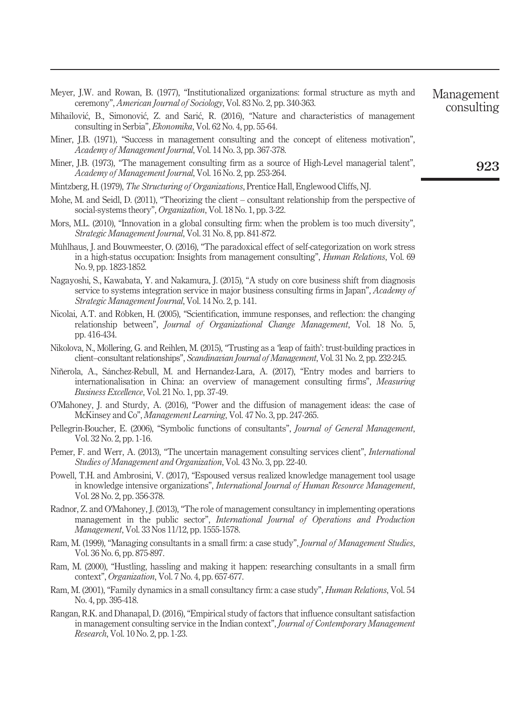<span id="page-21-20"></span><span id="page-21-19"></span><span id="page-21-18"></span><span id="page-21-17"></span><span id="page-21-16"></span><span id="page-21-15"></span><span id="page-21-14"></span><span id="page-21-13"></span><span id="page-21-12"></span><span id="page-21-11"></span><span id="page-21-10"></span><span id="page-21-9"></span><span id="page-21-8"></span><span id="page-21-7"></span><span id="page-21-6"></span><span id="page-21-5"></span><span id="page-21-4"></span><span id="page-21-3"></span><span id="page-21-2"></span><span id="page-21-1"></span><span id="page-21-0"></span>

| Meyer, J.W. and Rowan, B. (1977), "Institutionalized organizations: formal structure as myth and<br>ceremony", American Journal of Sociology, Vol. 83 No. 2, pp. 340-363.                                                                                      | Management<br>consulting |
|----------------------------------------------------------------------------------------------------------------------------------------------------------------------------------------------------------------------------------------------------------------|--------------------------|
| Mihailović, B., Simonović, Z. and Sarić, R. (2016), "Nature and characteristics of management<br>consulting in Serbia", <i>Ekonomika</i> , Vol. 62 No. 4, pp. 55-64.                                                                                           |                          |
| Miner, J.B. (1971), "Success in management consulting and the concept of eliteness motivation",<br>Academy of Management Journal, Vol. 14 No. 3, pp. 367-378.                                                                                                  |                          |
| Miner, J.B. (1973), "The management consulting firm as a source of High-Level managerial talent",<br>Academy of Management Journal, Vol. 16 No. 2, pp. 253-264.                                                                                                | 923                      |
| Mintzberg, H. (1979), The Structuring of Organizations, Prentice Hall, Englewood Cliffs, NJ.                                                                                                                                                                   |                          |
| Mohe, M. and Seidl, D. $(2011)$ , "Theorizing the client – consultant relationship from the perspective of<br>social-systems theory", Organization, Vol. 18 No. 1, pp. 3-22.                                                                                   |                          |
| Mors, M.L. (2010), "Innovation in a global consulting firm: when the problem is too much diversity",<br>Strategic Management Journal, Vol. 31 No. 8, pp. 841-872.                                                                                              |                          |
| Mühlhaus, J. and Bouwmeester, O. (2016), "The paradoxical effect of self-categorization on work stress<br>in a high-status occupation: Insights from management consulting", <i>Human Relations</i> , Vol. 69<br>No. 9, pp. 1823-1852.                         |                          |
| Nagayoshi, S., Kawabata, Y. and Nakamura, J. (2015), "A study on core business shift from diagnosis<br>service to systems integration service in major business consulting firms in Japan", Academy of<br>Strategic Management Journal, Vol. 14 No. 2, p. 141. |                          |
| Nicolai, A.T. and Röbken, H. (2005), "Scientification, immune responses, and reflection: the changing<br>relationship between", Journal of Organizational Change Management, Vol. 18 No. 5,<br>pp. 416-434.                                                    |                          |
| Nikolova, N., Möllering, G. and Reihlen, M. (2015), "Trusting as a 'leap of faith': trust-building practices in<br>client-consultant relationships", Scandinavian Journal of Management, Vol. 31 No. 2, pp. 232-245.                                           |                          |
| Niñerola, A., Sánchez-Rebull, M. and Hernandez-Lara, A. (2017), "Entry modes and barriers to<br>internationalisation in China: an overview of management consulting firms", Measuring<br><i>Business Excellence, Vol. 21 No. 1, pp. 37-49.</i>                 |                          |
| O'Mahoney, J. and Sturdy, A. (2016), "Power and the diffusion of management ideas: the case of<br>McKinsey and Co", Management Learning, Vol. 47 No. 3, pp. 247-265.                                                                                           |                          |
| Pellegrin-Boucher, E. (2006), "Symbolic functions of consultants", Journal of General Management,<br>Vol. 32 No. 2, pp. 1-16.                                                                                                                                  |                          |
| Pemer, F. and Werr, A. (2013), "The uncertain management consulting services client", <i>International</i><br>Studies of Management and Organization, Vol. 43 No. 3, pp. 22-40.                                                                                |                          |
| Powell, T.H. and Ambrosini, V. (2017), "Espoused versus realized knowledge management tool usage<br>in knowledge intensive organizations", International Journal of Human Resource Management,<br>Vol. 28 No. 2, pp. 356-378.                                  |                          |
| Radnor, Z. and O'Mahoney, J. (2013), "The role of management consultancy in implementing operations<br>management in the public sector", International Journal of Operations and Production<br>Management, Vol. 33 Nos 11/12, pp. 1555-1578.                   |                          |
| Ram, M. (1999), "Managing consultants in a small firm: a case study", Journal of Management Studies,<br>Vol. 36 No. 6, pp. 875-897.                                                                                                                            |                          |
| Ram, M. (2000), "Hustling, hassling and making it happen: researching consultants in a small firm<br>context", <i>Organization</i> , Vol. 7 No. 4, pp. 657-677.                                                                                                |                          |
| Ram, M. (2001), "Family dynamics in a small consultancy firm: a case study", <i>Human Relations</i> , Vol. 54<br>No. 4, pp. 395-418.                                                                                                                           |                          |
| Rangan, R.K. and Dhanapal, D. (2016), "Empirical study of factors that influence consultant satisfaction<br>in management consulting service in the Indian context", Journal of Contemporary Management<br>Research, Vol. 10 No. 2, pp. 1-23.                  |                          |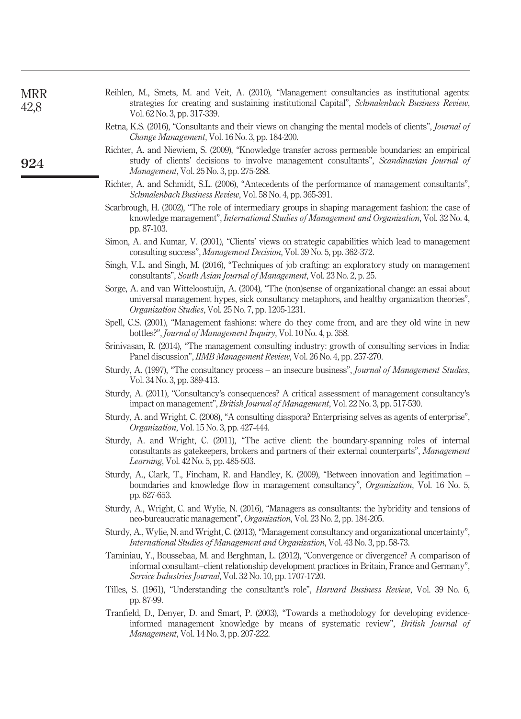<span id="page-22-19"></span><span id="page-22-18"></span><span id="page-22-17"></span><span id="page-22-16"></span><span id="page-22-15"></span><span id="page-22-14"></span><span id="page-22-13"></span><span id="page-22-12"></span><span id="page-22-11"></span><span id="page-22-10"></span><span id="page-22-9"></span><span id="page-22-8"></span><span id="page-22-7"></span><span id="page-22-6"></span><span id="page-22-5"></span><span id="page-22-4"></span><span id="page-22-3"></span><span id="page-22-2"></span><span id="page-22-1"></span><span id="page-22-0"></span>

| <b>MRR</b><br>42,8 | Reihlen, M., Smets, M. and Veit, A. (2010), "Management consultancies as institutional agents:<br>strategies for creating and sustaining institutional Capital", Schmalenbach Business Review,<br>Vol. 62 No. 3, pp. 317-339.                                      |
|--------------------|--------------------------------------------------------------------------------------------------------------------------------------------------------------------------------------------------------------------------------------------------------------------|
|                    | Retna, K.S. (2016), "Consultants and their views on changing the mental models of clients", <i>Journal of</i><br><i>Change Management</i> , Vol. 16 No. 3, pp. 184-200.                                                                                            |
| 924                | Richter, A. and Niewiem, S. (2009), "Knowledge transfer across permeable boundaries: an empirical<br>study of clients' decisions to involve management consultants", Scandinavian Journal of<br><i>Management, Vol. 25 No. 3, pp. 275-288.</i>                     |
|                    | Richter, A. and Schmidt, S.L. (2006), "Antecedents of the performance of management consultants",<br>Schmalenbach Business Review, Vol. 58 No. 4, pp. 365-391.                                                                                                     |
|                    | Scarbrough, H. (2002), "The role of intermediary groups in shaping management fashion: the case of<br>knowledge management", <i>International Studies of Management and Organization</i> , Vol. 32 No. 4,<br>pp. 87-103.                                           |
|                    | Simon, A. and Kumar, V. (2001), "Clients' views on strategic capabilities which lead to management<br>consulting success", Management Decision, Vol. 39 No. 5, pp. 362-372.                                                                                        |
|                    | Singh, V.L. and Singh, M. (2016), "Techniques of job crafting: an exploratory study on management<br>consultants", South Asian Journal of Management, Vol. 23 No. 2, p. 25.                                                                                        |
|                    | Sorge, A. and van Witteloostuijn, A. (2004), "The (non)sense of organizational change: an essai about<br>universal management hypes, sick consultancy metaphors, and healthy organization theories",<br><i>Organization Studies, Vol. 25 No. 7, pp. 1205-1231.</i> |
|                    | Spell, C.S. (2001), "Management fashions: where do they come from, and are they old wine in new<br>bottles?", Journal of Management Inquiry, Vol. 10 No. 4, p. 358.                                                                                                |
|                    | Srinivasan, R. (2014), "The management consulting industry: growth of consulting services in India:<br>Panel discussion", <i>IIMB Management Review</i> , Vol. 26 No. 4, pp. 257-270.                                                                              |
|                    | Sturdy, A. (1997), "The consultancy process – an insecure business", <i>Journal of Management Studies</i> ,<br>Vol. 34 No. 3, pp. 389-413.                                                                                                                         |
|                    | Sturdy, A. (2011), "Consultancy's consequences? A critical assessment of management consultancy's<br>impact on management", British Journal of Management, Vol. 22 No. 3, pp. 517-530.                                                                             |
|                    | Sturdy, A. and Wright, C. (2008), "A consulting diaspora? Enterprising selves as agents of enterprise",<br><i>Organization</i> , Vol. 15 No. 3, pp. 427-444.                                                                                                       |
|                    | Sturdy, A. and Wright, C. (2011), "The active client: the boundary-spanning roles of internal<br>consultants as gatekeepers, brokers and partners of their external counterparts", Management<br><i>Learning</i> , Vol. 42 No. 5, pp. 485-503.                     |
|                    | Sturdy, A., Clark, T., Fincham, R. and Handley, K. (2009), "Between innovation and legitimation –<br>boundaries and knowledge flow in management consultancy", Organization, Vol. 16 No. 5,<br>pp. 627-653.                                                        |
|                    | Sturdy, A., Wright, C. and Wylie, N. (2016), "Managers as consultants: the hybridity and tensions of<br>neo-bureaucratic management", <i>Organization</i> , Vol. 23 No. 2, pp. 184-205.                                                                            |
|                    | , "Sturdy, A., Wylie, N. and Wright, C. (2013), "Management consultancy and organizational uncertainty<br>International Studies of Management and Organization, Vol. 43 No. 3, pp. 58-73.                                                                          |
|                    | Taminiau, Y., Boussebaa, M. and Berghman, L. (2012), "Convergence or divergence? A comparison of<br>informal consultant-client relationship development practices in Britain, France and Germany",<br>Service Industries Journal, Vol. 32 No. 10, pp. 1707-1720.   |
|                    | Tilles, S. (1961), "Understanding the consultant's role", <i>Harvard Business Review</i> , Vol. 39 No. 6,<br>pp. 87-99.                                                                                                                                            |
|                    | Tranfield, D., Denyer, D. and Smart, P. (2003), "Towards a methodology for developing evidence-<br>informed management knowledge by means of systematic review", British Journal of<br><i>Management, Vol.</i> 14 No. 3, pp. 207-222.                              |